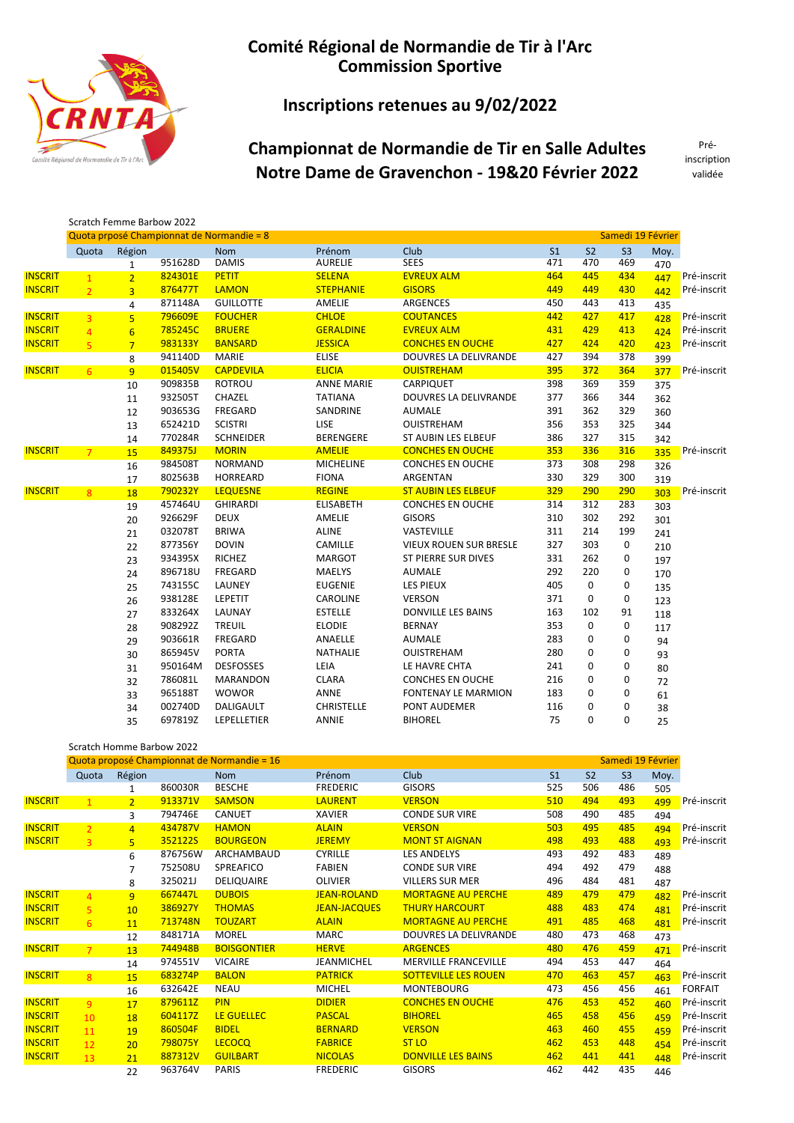

## Inscriptions retenues au 9/02/2022

# Championnat de Normandie de Tir en Salle Adultes Notre Dame de Gravenchon - 19&20 Février 2022

Préinscription validée

|                |                |                 | Scratch Femme Barbow 2022 |                                           |                   |                               |                |                |                   |      |             |
|----------------|----------------|-----------------|---------------------------|-------------------------------------------|-------------------|-------------------------------|----------------|----------------|-------------------|------|-------------|
|                |                |                 |                           | Quota prposé Championnat de Normandie = 8 |                   |                               |                |                | Samedi 19 Février |      |             |
|                | Quota          | Région          |                           | <b>Nom</b>                                | Prénom            | Club                          | S <sub>1</sub> | S <sub>2</sub> | S <sub>3</sub>    | Moy. |             |
|                |                | $\mathbf{1}$    | 951628D                   | <b>DAMIS</b>                              | <b>AURELIE</b>    | <b>SEES</b>                   | 471            | 470            | 469               | 470  |             |
| <b>INSCRIT</b> | $\mathbf{1}$   | $\overline{2}$  | 824301E                   | <b>PETIT</b>                              | <b>SELENA</b>     | <b>EVREUX ALM</b>             | 464            | 445            | 434               | 447  | Pré-inscrit |
| <b>INSCRIT</b> | $\overline{2}$ | $\overline{3}$  | 876477T                   | <b>LAMON</b>                              | <b>STEPHANIE</b>  | <b>GISORS</b>                 | 449            | 449            | 430               | 442  | Pré-inscrit |
|                |                | 4               | 871148A                   | <b>GUILLOTTE</b>                          | <b>AMELIE</b>     | <b>ARGENCES</b>               | 450            | 443            | 413               | 435  |             |
| <b>INSCRIT</b> | $\overline{3}$ | 5 <sup>5</sup>  | 796609E                   | <b>FOUCHER</b>                            | <b>CHLOE</b>      | <b>COUTANCES</b>              | 442            | 427            | 417               | 428  | Pré-inscrit |
| <b>INSCRIT</b> | $\overline{4}$ | $6\overline{6}$ | 785245C                   | <b>BRUERE</b>                             | <b>GERALDINE</b>  | <b>EVREUX ALM</b>             | 431            | 429            | 413               | 424  | Pré-inscrit |
| <b>INSCRIT</b> | 5 <sup>1</sup> | $\overline{7}$  | 983133Y                   | <b>BANSARD</b>                            | <b>JESSICA</b>    | <b>CONCHES EN OUCHE</b>       | 427            | 424            | 420               | 423  | Pré-inscrit |
|                |                | 8               | 941140D                   | <b>MARIE</b>                              | <b>ELISE</b>      | <b>DOUVRES LA DELIVRANDE</b>  | 427            | 394            | 378               | 399  |             |
| <b>INSCRIT</b> | 6              | 9 <sup>°</sup>  | 015405V                   | <b>CAPDEVILA</b>                          | <b>ELICIA</b>     | <b>OUISTREHAM</b>             | 395            | 372            | 364               | 377  | Pré-inscrit |
|                |                | 10              | 909835B                   | <b>ROTROU</b>                             | <b>ANNE MARIE</b> | CARPIQUET                     | 398            | 369            | 359               | 375  |             |
|                |                | 11              | 932505T                   | CHAZEL                                    | <b>TATIANA</b>    | <b>DOUVRES LA DELIVRANDE</b>  | 377            | 366            | 344               | 362  |             |
|                |                | 12              | 903653G                   | FREGARD                                   | SANDRINE          | <b>AUMALE</b>                 | 391            | 362            | 329               | 360  |             |
|                |                | 13              | 652421D                   | <b>SCISTRI</b>                            | LISE              | <b>OUISTREHAM</b>             | 356            | 353            | 325               | 344  |             |
|                |                | 14              | 770284R                   | <b>SCHNEIDER</b>                          | <b>BERENGERE</b>  | <b>ST AUBIN LES ELBEUF</b>    | 386            | 327            | 315               | 342  |             |
| <b>INSCRIT</b> | 7 <sup>1</sup> | 15              | 849375J                   | <b>MORIN</b>                              | <b>AMELIE</b>     | <b>CONCHES EN OUCHE</b>       | 353            | 336            | 316               | 335  | Pré-inscrit |
|                |                | 16              | 984508T                   | <b>NORMAND</b>                            | <b>MICHELINE</b>  | <b>CONCHES EN OUCHE</b>       | 373            | 308            | 298               | 326  |             |
|                |                | 17              | 802563B                   | HORREARD                                  | <b>FIONA</b>      | ARGENTAN                      | 330            | 329            | 300               | 319  |             |
| <b>INSCRIT</b> | $\overline{8}$ | 18              | 790232Y                   | <b>LEQUESNE</b>                           | <b>REGINE</b>     | <b>ST AUBIN LES ELBEUF</b>    | 329            | 290            | 290               | 303  | Pré-inscrit |
|                |                | 19              | 457464U                   | <b>GHIRARDI</b>                           | <b>ELISABETH</b>  | <b>CONCHES EN OUCHE</b>       | 314            | 312            | 283               | 303  |             |
|                |                | 20              | 926629F                   | <b>DEUX</b>                               | AMELIE            | <b>GISORS</b>                 | 310            | 302            | 292               | 301  |             |
|                |                | 21              | 032078T                   | <b>BRIWA</b>                              | <b>ALINE</b>      | VASTEVILLE                    | 311            | 214            | 199               | 241  |             |
|                |                | 22              | 877356Y                   | <b>DOVIN</b>                              | CAMILLE           | <b>VIEUX ROUEN SUR BRESLE</b> | 327            | 303            | 0                 | 210  |             |
|                |                | 23              | 934395X                   | <b>RICHEZ</b>                             | <b>MARGOT</b>     | <b>ST PIERRE SUR DIVES</b>    | 331            | 262            | 0                 | 197  |             |
|                |                | 24              | 896718U                   | FREGARD                                   | MAËLYS            | <b>AUMALE</b>                 | 292            | 220            | 0                 | 170  |             |
|                |                | 25              | 743155C                   | LAUNEY                                    | <b>EUGENIE</b>    | <b>LES PIEUX</b>              | 405            | 0              | 0                 | 135  |             |
|                |                | 26              | 938128E                   | LEPETIT                                   | CAROLINE          | <b>VERSON</b>                 | 371            | 0              | 0                 | 123  |             |
|                |                | 27              | 833264X                   | LAUNAY                                    | <b>ESTELLE</b>    | DONVILLE LES BAINS            | 163            | 102            | 91                | 118  |             |
|                |                | 28              | 908292Z                   | <b>TREUIL</b>                             | <b>ELODIE</b>     | <b>BERNAY</b>                 | 353            | 0              | 0                 | 117  |             |
|                |                | 29              | 903661R                   | FREGARD                                   | ANAËLLE           | <b>AUMALE</b>                 | 283            | 0              | 0                 | 94   |             |
|                |                | 30              | 865945V                   | <b>PORTA</b>                              | NATHALIE          | <b>OUISTREHAM</b>             | 280            | 0              | 0                 | 93   |             |
|                |                | 31              | 950164M                   | <b>DESFOSSES</b>                          | LEÏA              | LE HAVRE CHTA                 | 241            | 0              | 0                 | 80   |             |
|                |                | 32              | 786081L                   | <b>MARANDON</b>                           | <b>CLARA</b>      | <b>CONCHES EN OUCHE</b>       | 216            | 0              | 0                 | 72   |             |
|                |                | 33              | 965188T                   | <b>WOWOR</b>                              | ANNE              | <b>FONTENAY LE MARMION</b>    | 183            | 0              | 0                 | 61   |             |
|                |                | 34              | 002740D                   | DALIGAULT                                 | <b>CHRISTELLE</b> | PONT AUDEMER                  | 116            | 0              | 0                 | 38   |             |
|                |                | 35              | 697819Z                   | LEPELLETIER                               | ANNIE             | <b>BIHOREL</b>                | 75             | 0              | 0                 | 25   |             |

|                |                |                | Scratch Homme Barbow 2022 |                                             |                     |                              |                |                |                |                   |                |
|----------------|----------------|----------------|---------------------------|---------------------------------------------|---------------------|------------------------------|----------------|----------------|----------------|-------------------|----------------|
|                |                |                |                           | Quota proposé Championnat de Normandie = 16 |                     |                              |                |                |                | Samedi 19 Février |                |
|                | Quota          | Région         |                           | <b>Nom</b>                                  | Prénom              | Club                         | S <sub>1</sub> | S <sub>2</sub> | S <sub>3</sub> | Moy.              |                |
|                |                | 1              | 860030R                   | <b>BESCHE</b>                               | <b>FREDERIC</b>     | <b>GISORS</b>                | 525            | 506            | 486            | 505               |                |
| <b>INSCRIT</b> | $\overline{1}$ | $\overline{2}$ | 913371V                   | <b>SAMSON</b>                               | <b>LAURENT</b>      | <b>VERSON</b>                | 510            | 494            | 493            | 499               | Pré-inscrit    |
|                |                | 3              | 794746E                   | <b>CANUET</b>                               | <b>XAVIER</b>       | <b>CONDE SUR VIRE</b>        | 508            | 490            | 485            | 494               |                |
| <b>INSCRIT</b> | $\overline{2}$ | $\overline{4}$ | 434787V                   | <b>HAMON</b>                                | <b>ALAIN</b>        | <b>VERSON</b>                | 503            | 495            | 485            | 494               | Pré-inscrit    |
| <b>INSCRIT</b> | $\overline{3}$ | $\overline{5}$ | 352122S                   | <b>BOURGEON</b>                             | <b>JEREMY</b>       | <b>MONT ST AIGNAN</b>        | 498            | 493            | 488            | 493               | Pré-inscrit    |
|                |                | 6              | 876756W                   | ARCHAMBAUD                                  | <b>CYRILLE</b>      | <b>LES ANDELYS</b>           | 493            | 492            | 483            | 489               |                |
|                |                | $\overline{7}$ | 752508U                   | SPREAFICO                                   | <b>FABIEN</b>       | <b>CONDE SUR VIRE</b>        | 494            | 492            | 479            | 488               |                |
|                |                | 8              | 325021J                   | <b>DELIQUAIRE</b>                           | <b>OLIVIER</b>      | <b>VILLERS SUR MER</b>       | 496            | 484            | 481            | 487               |                |
| <b>INSCRIT</b> | $\overline{a}$ | $\overline{9}$ | 667447L                   | <b>DUBOIS</b>                               | <b>JEAN-ROLAND</b>  | <b>MORTAGNE AU PERCHE</b>    | 489            | 479            | 479            | 482               | Pré-inscrit    |
| <b>INSCRIT</b> | $\overline{5}$ | 10             | 386927Y                   | <b>THOMAS</b>                               | <b>JEAN-JACQUES</b> | <b>THURY HARCOURT</b>        | 488            | 483            | 474            | 481               | Pré-inscrit    |
| <b>INSCRIT</b> | 6              | 11             | 713748N                   | <b>TOUZART</b>                              | <b>ALAIN</b>        | <b>MORTAGNE AU PERCHE</b>    | 491            | 485            | 468            | 481               | Pré-inscrit    |
|                |                | 12             | 848171A                   | <b>MOREL</b>                                | <b>MARC</b>         | <b>DOUVRES LA DELIVRANDE</b> | 480            | 473            | 468            | 473               |                |
| <b>INSCRIT</b> | $\overline{7}$ | 13             | 744948B                   | <b>BOISGONTIER</b>                          | <b>HERVE</b>        | <b>ARGENCES</b>              | 480            | 476            | 459            | 471               | Pré-inscrit    |
|                |                | 14             | 974551V                   | <b>VICAIRE</b>                              | <b>JEANMICHEL</b>   | <b>MERVILLE FRANCEVILLE</b>  | 494            | 453            | 447            | 464               |                |
| <b>INSCRIT</b> | 8              | 15             | 683274P                   | <b>BALON</b>                                | <b>PATRICK</b>      | <b>SOTTEVILLE LES ROUEN</b>  | 470            | 463            | 457            | 463               | Pré-inscrit    |
|                |                | 16             | 632642E                   | <b>NEAU</b>                                 | <b>MICHEL</b>       | <b>MONTEBOURG</b>            | 473            | 456            | 456            | 461               | <b>FORFAIT</b> |
| <b>INSCRIT</b> | $\overline{9}$ | 17             | 879611Z                   | <b>PIN</b>                                  | <b>DIDIER</b>       | <b>CONCHES EN OUCHE</b>      | 476            | 453            | 452            | 460               | Pré-inscrit    |
| <b>INSCRIT</b> | 10             | 18             | 604117Z                   | LE GUELLEC                                  | <b>PASCAL</b>       | <b>BIHOREL</b>               | 465            | 458            | 456            | 459               | Pré-Inscrit    |
| <b>INSCRIT</b> | 11             | 19             | 860504F                   | <b>BIDEL</b>                                | <b>BERNARD</b>      | <b>VERSON</b>                | 463            | 460            | 455            | 459               | Pré-inscrit    |
| <b>INSCRIT</b> | 12             | 20             | 798075Y                   | <b>LECOCQ</b>                               | <b>FABRICE</b>      | ST <sub>LO</sub>             | 462            | 453            | 448            | 454               | Pré-inscrit    |
| <b>INSCRIT</b> | 13             | 21             | 887312V                   | <b>GUILBART</b>                             | <b>NICOLAS</b>      | <b>DONVILLE LES BAINS</b>    | 462            | 441            | 441            | 448               | Pré-inscrit    |
|                |                | 22             | 963764V                   | <b>PARIS</b>                                | <b>FREDERIC</b>     | <b>GISORS</b>                | 462            | 442            | 435            | 446               |                |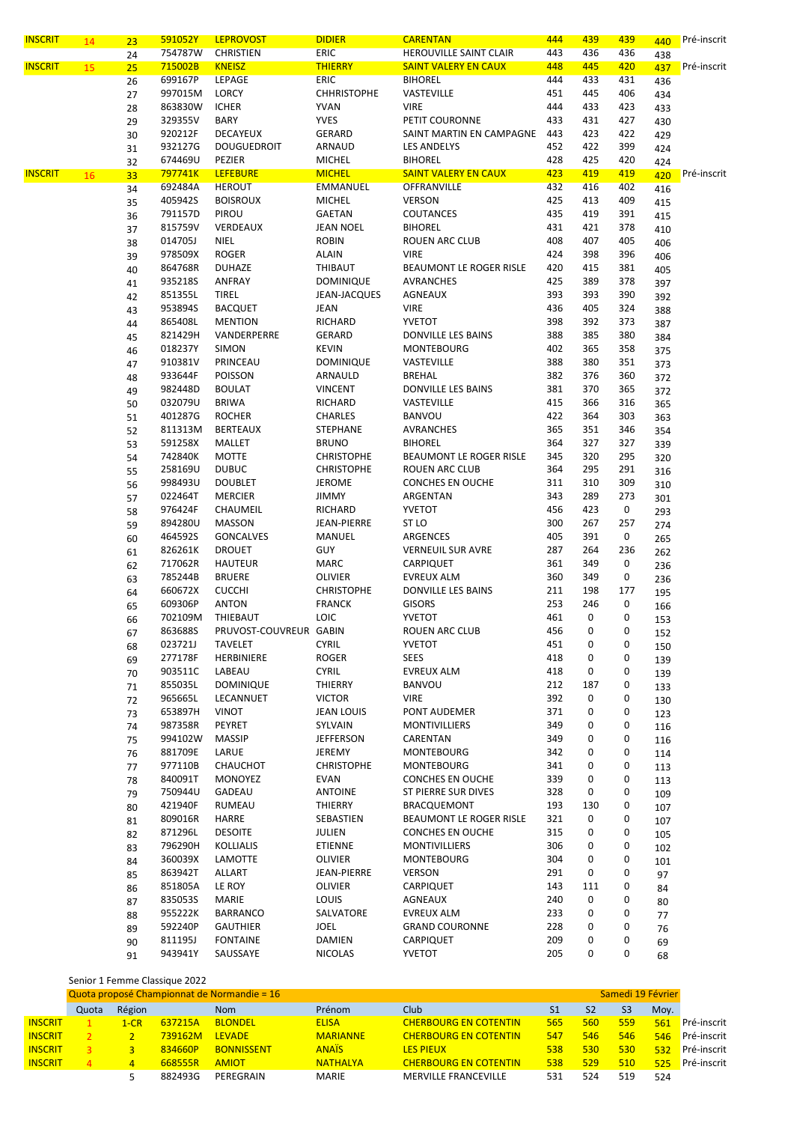| <b>INSCRIT</b> | 14 | 23 | 591052Y | <b>LEPROVOST</b>       | <b>DIDIER</b>      | <b>CARENTAN</b>             | 444 | 439 | 439 | 440 | Pré-inscrit |
|----------------|----|----|---------|------------------------|--------------------|-----------------------------|-----|-----|-----|-----|-------------|
|                |    | 24 | 754787W | CHRISTIEN              | ERIC               | HEROUVILLE SAINT CLAIR      | 443 | 436 | 436 | 438 |             |
| <b>INSCRIT</b> | 15 | 25 | 715002B | <b>KNEISZ</b>          | <b>THIERRY</b>     | <b>SAINT VALERY EN CAUX</b> | 448 | 445 | 420 | 437 | Pré-inscrit |
|                |    | 26 | 699167P | <b>LEPAGE</b>          | <b>ERIC</b>        | <b>BIHOREL</b>              | 444 | 433 | 431 | 436 |             |
|                |    | 27 | 997015M | LORCY                  | <b>CHHRISTOPHE</b> | VASTEVILLE                  | 451 | 445 | 406 | 434 |             |
|                |    | 28 | 863830W | <b>ICHER</b>           | <b>YVAN</b>        | <b>VIRE</b>                 | 444 | 433 | 423 | 433 |             |
|                |    | 29 | 329355V | <b>BARY</b>            | <b>YVES</b>        | PETIT COURONNE              | 433 | 431 | 427 | 430 |             |
|                |    |    | 920212F | DECAYEUX               | GERARD             | SAINT MARTIN EN CAMPAGNE    | 443 | 423 | 422 |     |             |
|                |    | 30 | 932127G |                        |                    |                             | 452 | 422 |     | 429 |             |
|                |    | 31 |         | <b>DOUGUEDROIT</b>     | ARNAUD             | LES ANDELYS                 |     |     | 399 | 424 |             |
|                |    | 32 | 674469U | PEZIER                 | <b>MICHEL</b>      | <b>BIHOREL</b>              | 428 | 425 | 420 | 424 |             |
| <b>INSCRIT</b> | 16 | 33 | 797741K | <b>LEFEBURE</b>        | <b>MICHEL</b>      | <b>SAINT VALERY EN CAUX</b> | 423 | 419 | 419 | 420 | Pré-inscrit |
|                |    | 34 | 692484A | <b>HEROUT</b>          | EMMANUEL           | OFFRANVILLE                 | 432 | 416 | 402 | 416 |             |
|                |    | 35 | 405942S | <b>BOISROUX</b>        | <b>MICHEL</b>      | <b>VERSON</b>               | 425 | 413 | 409 | 415 |             |
|                |    | 36 | 791157D | PIROU                  | GAETAN             | <b>COUTANCES</b>            | 435 | 419 | 391 | 415 |             |
|                |    | 37 | 815759V | VERDEAUX               | <b>JEAN NOEL</b>   | <b>BIHOREL</b>              | 431 | 421 | 378 | 410 |             |
|                |    | 38 | 014705J | NIEL                   | <b>ROBIN</b>       | ROUEN ARC CLUB              | 408 | 407 | 405 | 406 |             |
|                |    | 39 | 978509X | <b>ROGER</b>           | <b>ALAIN</b>       | <b>VIRE</b>                 | 424 | 398 | 396 | 406 |             |
|                |    | 40 | 864768R | <b>DUHAZE</b>          | THIBAUT            | BEAUMONT LE ROGER RISLE     | 420 | 415 | 381 | 405 |             |
|                |    | 41 | 935218S | ANFRAY                 | <b>DOMINIQUE</b>   | <b>AVRANCHES</b>            | 425 | 389 | 378 | 397 |             |
|                |    | 42 | 851355L | <b>TIREL</b>           | JEAN-JACQUES       | AGNEAUX                     | 393 | 393 | 390 | 392 |             |
|                |    | 43 | 953894S | <b>BACQUET</b>         | JEAN               | <b>VIRE</b>                 | 436 | 405 | 324 | 388 |             |
|                |    | 44 | 865408L | <b>MENTION</b>         | RICHARD            | YVETOT                      | 398 | 392 | 373 | 387 |             |
|                |    |    | 821429H | VANDERPERRE            | GERARD             | DONVILLE LES BAINS          | 388 | 385 | 380 |     |             |
|                |    | 45 | 018237Y | SIMON                  | <b>KEVIN</b>       | <b>MONTEBOURG</b>           | 402 | 365 | 358 | 384 |             |
|                |    | 46 | 910381V | PRINCEAU               | <b>DOMINIQUE</b>   | VASTEVILLE                  | 388 | 380 | 351 | 375 |             |
|                |    | 47 |         |                        |                    | <b>BREHAL</b>               | 382 | 376 |     | 373 |             |
|                |    | 48 | 933644F | POISSON                | ARNAULD            |                             |     |     | 360 | 372 |             |
|                |    | 49 | 982448D | <b>BOULAT</b>          | <b>VINCENT</b>     | DONVILLE LES BAINS          | 381 | 370 | 365 | 372 |             |
|                |    | 50 | 032079U | BRIWA                  | RICHARD            | VASTEVILLE                  | 415 | 366 | 316 | 365 |             |
|                |    | 51 | 401287G | <b>ROCHER</b>          | <b>CHARLES</b>     | <b>BANVOU</b>               | 422 | 364 | 303 | 363 |             |
|                |    | 52 | 811313M | <b>BERTEAUX</b>        | STEPHANE           | <b>AVRANCHES</b>            | 365 | 351 | 346 | 354 |             |
|                |    | 53 | 591258X | MALLET                 | <b>BRUNO</b>       | <b>BIHOREL</b>              | 364 | 327 | 327 | 339 |             |
|                |    | 54 | 742840K | <b>MOTTE</b>           | <b>CHRISTOPHE</b>  | BEAUMONT LE ROGER RISLE     | 345 | 320 | 295 | 320 |             |
|                |    | 55 | 258169U | <b>DUBUC</b>           | <b>CHRISTOPHE</b>  | ROUEN ARC CLUB              | 364 | 295 | 291 | 316 |             |
|                |    | 56 | 998493U | <b>DOUBLET</b>         | JEROME             | <b>CONCHES EN OUCHE</b>     | 311 | 310 | 309 | 310 |             |
|                |    | 57 | 022464T | <b>MERCIER</b>         | <b>JIMMY</b>       | ARGENTAN                    | 343 | 289 | 273 | 301 |             |
|                |    | 58 | 976424F | CHAUMEIL               | RICHARD            | YVETOT                      | 456 | 423 | 0   | 293 |             |
|                |    | 59 | 894280U | <b>MASSON</b>          | JEAN-PIERRE        | ST LO                       | 300 | 267 | 257 | 274 |             |
|                |    | 60 | 464592S | <b>GONCALVES</b>       | MANUEL             | ARGENCES                    | 405 | 391 | 0   | 265 |             |
|                |    |    | 826261K | <b>DROUET</b>          | GUY                | <b>VERNEUIL SUR AVRE</b>    | 287 | 264 | 236 |     |             |
|                |    | 61 | 717062R | <b>HAUTEUR</b>         | <b>MARC</b>        | CARPIQUET                   | 361 | 349 | 0   | 262 |             |
|                |    | 62 | 785244B | <b>BRUERE</b>          | OLIVIER            | EVREUX ALM                  | 360 | 349 | 0   | 236 |             |
|                |    | 63 |         |                        |                    |                             |     |     |     | 236 |             |
|                |    | 64 | 660672X | <b>CUCCHI</b>          | <b>CHRISTOPHE</b>  | DONVILLE LES BAINS          | 211 | 198 | 177 | 195 |             |
|                |    | 65 | 609306P | <b>ANTON</b>           | <b>FRANCK</b>      | <b>GISORS</b>               | 253 | 246 | 0   | 166 |             |
|                |    | 66 | 702109M | THIEBAUT               | <b>LOIC</b>        | YVETOT                      | 461 | 0   | 0   | 153 |             |
|                |    | 67 | 863688S | PRUVOST-COUVREUR GABIN |                    | ROUEN ARC CLUB              | 456 | 0   | 0   | 152 |             |
|                |    | 68 | 023721J | TAVELET                | <b>CYRIL</b>       | YVETOT                      | 451 | 0   | 0   | 150 |             |
|                |    | 69 | 277178F | HERBINIERE             | <b>ROGER</b>       | <b>SEES</b>                 | 418 | 0   | 0   | 139 |             |
|                |    | 70 | 903511C | LABEAU                 | <b>CYRIL</b>       | <b>EVREUX ALM</b>           | 418 | 0   | 0   | 139 |             |
|                |    | 71 | 855035L | <b>DOMINIQUE</b>       | THIERRY            | BANVOU                      | 212 | 187 | 0   | 133 |             |
|                |    | 72 | 965665L | LECANNUET              | <b>VICTOR</b>      | <b>VIRE</b>                 | 392 | 0   | 0   | 130 |             |
|                |    | 73 | 653897H | VINOT                  | JEAN LOUIS         | PONT AUDEMER                | 371 | 0   | 0   | 123 |             |
|                |    | 74 | 987358R | PEYRET                 | SYLVAIN            | MONTIVILLIERS               | 349 | 0   | 0   | 116 |             |
|                |    | 75 | 994102W | <b>MASSIP</b>          | <b>JEFFERSON</b>   | CARENTAN                    | 349 | 0   | 0   | 116 |             |
|                |    | 76 | 881709E | LARUE                  | JEREMY             | MONTEBOURG                  | 342 | 0   | 0   |     |             |
|                |    |    | 977110B | CHAUCHOT               | <b>CHRISTOPHE</b>  | <b>MONTEBOURG</b>           | 341 | 0   | 0   | 114 |             |
|                |    | 77 |         |                        |                    |                             |     |     |     | 113 |             |
|                |    | 78 | 840091T | MONOYEZ                | EVAN               | <b>CONCHES EN OUCHE</b>     | 339 | 0   | 0   | 113 |             |
|                |    | 79 | 750944U | GADEAU                 | <b>ANTOINE</b>     | <b>ST PIERRE SUR DIVES</b>  | 328 | 0   | 0   | 109 |             |
|                |    | 80 | 421940F | RUMEAU                 | THIERRY            | BRACQUEMONT                 | 193 | 130 | 0   | 107 |             |
|                |    | 81 | 809016R | HARRE                  | SEBASTIEN          | BEAUMONT LE ROGER RISLE     | 321 | 0   | 0   | 107 |             |
|                |    | 82 | 871296L | <b>DESOITE</b>         | JULIEN             | CONCHES EN OUCHE            | 315 | 0   | 0   | 105 |             |
|                |    | 83 | 796290H | KOLLIALIS              | ETIENNE            | MONTIVILLIERS               | 306 | 0   | 0   | 102 |             |
|                |    | 84 | 360039X | LAMOTTE                | OLIVIER            | <b>MONTEBOURG</b>           | 304 | 0   | 0   | 101 |             |
|                |    | 85 | 863942T | ALLART                 | JEAN-PIERRE        | <b>VERSON</b>               | 291 | 0   | 0   | 97  |             |
|                |    | 86 | 851805A | LE ROY                 | OLIVIER            | CARPIQUET                   | 143 | 111 | 0   | 84  |             |
|                |    | 87 | 8350535 | MARIE                  | LOUIS              | AGNEAUX                     | 240 | 0   | 0   | 80  |             |
|                |    | 88 | 955222K | BARRANCO               | SALVATORE          | EVREUX ALM                  | 233 | 0   | 0   | 77  |             |
|                |    | 89 | 592240P | <b>GAUTHIER</b>        | <b>JOEL</b>        | <b>GRAND COURONNE</b>       | 228 | 0   | 0   | 76  |             |
|                |    | 90 | 811195J | <b>FONTAINE</b>        | DAMIEN             | CARPIQUET                   | 209 | 0   | 0   | 69  |             |
|                |    |    |         |                        |                    |                             |     |     |     |     |             |
|                |    | 91 | 943941Y | SAUSSAYE               | <b>NICOLAS</b>     | YVETOT                      | 205 | 0   | 0   | 68  |             |

|                |       | Quota proposé Championnat de Normandie = 16 |         |                   |                 |                              |     |     | Samedi 19 Février |      |             |  |  |  |
|----------------|-------|---------------------------------------------|---------|-------------------|-----------------|------------------------------|-----|-----|-------------------|------|-------------|--|--|--|
|                | Quota | Région                                      |         | <b>Nom</b>        | Prénom          | Club                         |     | S2  | S3                | Mov. |             |  |  |  |
| <b>INSCRIT</b> |       | $1-CR$                                      | 637215A | <b>BLONDEL</b>    | <b>ELISA</b>    | <b>CHERBOURG EN COTENTIN</b> | 565 | 560 | 559               | 561  | Pré-inscrit |  |  |  |
| <b>INSCRIT</b> |       |                                             | 739162M | <b>IFVADE</b>     | <b>MARIANNE</b> | <b>CHERBOURG EN COTENTIN</b> | 547 | 546 | 546               | 546  | Pré-inscrit |  |  |  |
| <b>INSCRIT</b> |       |                                             | 834660P | <b>BONNISSENT</b> | <b>ANAÏS</b>    | <b>LES PIEUX</b>             | 538 | 530 | 530               | 532  | Pré-inscrit |  |  |  |
| <b>INSCRIT</b> |       |                                             | 668555R | <b>AMIOT</b>      | <b>NATHALYA</b> | <b>CHERBOURG EN COTENTIN</b> | 538 | 529 | 510               | 525  | Pré-inscrit |  |  |  |
|                |       |                                             | 882493G | PERFGRAIN         | <b>MARIE</b>    | MERVILLE FRANCEVILLE         | 531 | 524 | 519               | 524  |             |  |  |  |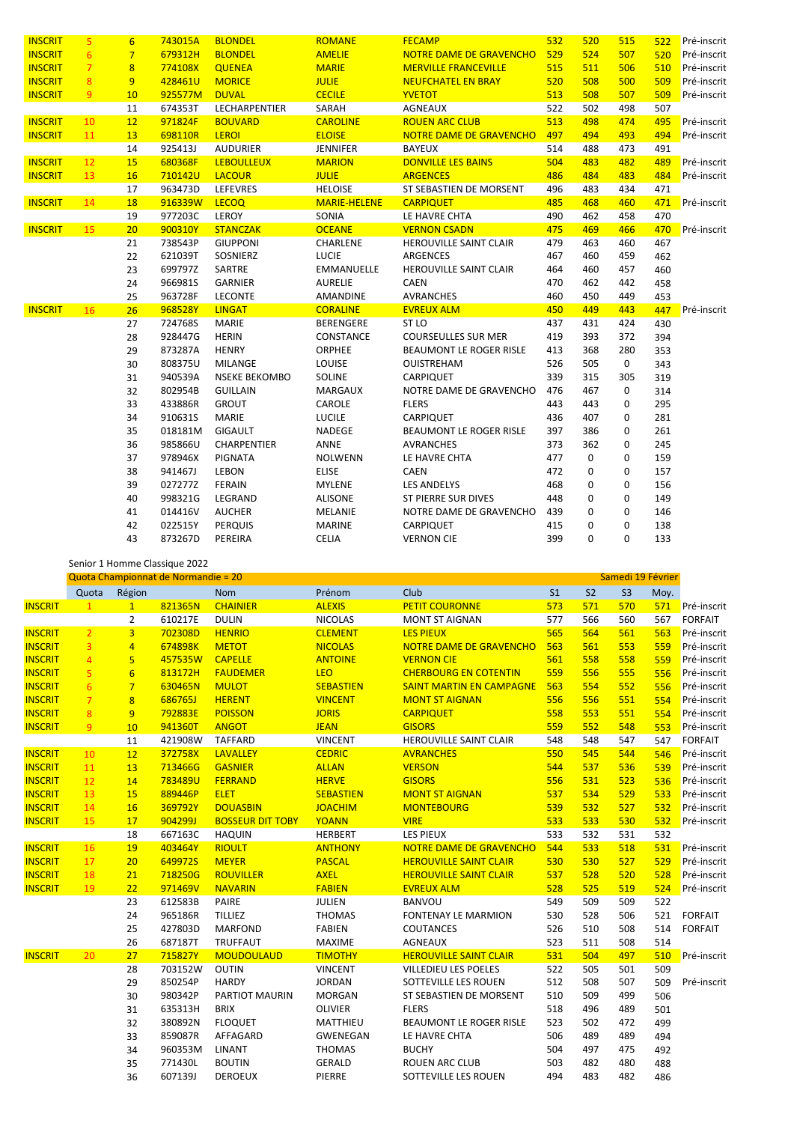| <b>INSCRIT</b> | 5              | $6\overline{6}$ | 743015A | <b>BLONDEL</b>       | <b>ROMANE</b>       | <b>FECAMP</b>                  | 532 | 520 | 515 | 522 | Pré-inscrit |
|----------------|----------------|-----------------|---------|----------------------|---------------------|--------------------------------|-----|-----|-----|-----|-------------|
| <b>INSCRIT</b> | 6              | $7\overline{}$  | 679312H | <b>BLONDEL</b>       | <b>AMELIE</b>       | NOTRE DAME DE GRAVENCHO        | 529 | 524 | 507 | 520 | Pré-inscrit |
| <b>INSCRIT</b> | $\overline{7}$ | $\overline{8}$  | 774108X | <b>QUENEA</b>        | <b>MARIE</b>        | <b>MERVILLE FRANCEVILLE</b>    | 515 | 511 | 506 | 510 | Pré-inscrit |
| <b>INSCRIT</b> | 8              | 9               | 428461U | <b>MORICE</b>        | <b>JULIE</b>        | <b>NEUFCHATEL EN BRAY</b>      | 520 | 508 | 500 | 509 | Pré-inscrit |
| <b>INSCRIT</b> | 9              | 10              | 925577M | <b>DUVAL</b>         | <b>CECILE</b>       | YVETOT                         | 513 | 508 | 507 | 509 | Pré-inscrit |
|                |                | 11              | 674353T | LECHARPENTIER        | SARAH               | AGNEAUX                        | 522 | 502 | 498 | 507 |             |
| <b>INSCRIT</b> | 10             | 12              | 971824F | <b>BOUVARD</b>       | <b>CAROLINE</b>     | <b>ROUEN ARC CLUB</b>          | 513 | 498 | 474 | 495 | Pré-inscrit |
| <b>INSCRIT</b> | 11             | 13              | 698110R | <b>LEROI</b>         | <b>ELOISE</b>       | NOTRE DAME DE GRAVENCHO        | 497 | 494 | 493 | 494 | Pré-inscrit |
|                |                | 14              | 925413J | <b>AUDURIER</b>      | JENNIFER            | <b>BAYEUX</b>                  | 514 | 488 | 473 | 491 |             |
| <b>INSCRIT</b> | 12             | 15              | 680368F | <b>LEBOULLEUX</b>    | <b>MARION</b>       | <b>DONVILLE LES BAINS</b>      | 504 | 483 | 482 | 489 | Pré-inscrit |
| <b>INSCRIT</b> | 13             | 16              | 710142U | LACOUR               | <b>JULIE</b>        | <b>ARGENCES</b>                | 486 | 484 | 483 | 484 | Pré-inscrit |
|                |                | 17              | 963473D | LEFEVRES             | <b>HELOISE</b>      | ST SEBASTIEN DE MORSENT        | 496 | 483 | 434 | 471 |             |
| <b>INSCRIT</b> | 14             | 18              | 916339W | <b>LECOQ</b>         | <b>MARIE-HELENE</b> | <b>CARPIQUET</b>               | 485 | 468 | 460 | 471 | Pré-inscrit |
|                |                | 19              | 977203C | LEROY                | SONIA               | LE HAVRE CHTA                  | 490 | 462 | 458 | 470 |             |
| <b>INSCRIT</b> | 15             | 20              | 900310Y | <b>STANCZAK</b>      | <b>OCEANE</b>       | <b>VERNON CSADN</b>            | 475 | 469 | 466 | 470 | Pré-inscrit |
|                |                | 21              | 738543P | <b>GIUPPONI</b>      | CHARLENE            | HEROUVILLE SAINT CLAIR         | 479 | 463 | 460 | 467 |             |
|                |                | 22              | 621039T | SOSNIERZ             | <b>LUCIE</b>        | <b>ARGENCES</b>                | 467 | 460 | 459 | 462 |             |
|                |                | 23              | 699797Z | SARTRE               | <b>EMMANUELLE</b>   | HEROUVILLE SAINT CLAIR         | 464 | 460 | 457 | 460 |             |
|                |                | 24              | 966981S | <b>GARNIER</b>       | <b>AURELIE</b>      | <b>CAEN</b>                    | 470 | 462 | 442 | 458 |             |
|                |                | 25              | 963728F | <b>LECONTE</b>       | AMANDINE            | <b>AVRANCHES</b>               | 460 | 450 | 449 | 453 |             |
| <b>INSCRIT</b> | 16             | 26              | 968528Y | <b>LINGAT</b>        | <b>CORALINE</b>     | <b>EVREUX ALM</b>              | 450 | 449 | 443 | 447 | Pré-inscrit |
|                |                | 27              | 724768S | MARIE                | <b>BERENGERE</b>    | ST <sub>LO</sub>               | 437 | 431 | 424 | 430 |             |
|                |                | 28              | 928447G | <b>HERIN</b>         | CONSTANCE           | <b>COURSEULLES SUR MER</b>     | 419 | 393 | 372 | 394 |             |
|                |                | 29              | 873287A | <b>HENRY</b>         | ORPHEE              | <b>BEAUMONT LE ROGER RISLE</b> | 413 | 368 | 280 | 353 |             |
|                |                | 30              | 808375U | <b>MILANGE</b>       | LOUISE              | OUISTREHAM                     | 526 | 505 | 0   | 343 |             |
|                |                | 31              | 940539A | <b>NSEKE BEKOMBO</b> | <b>SOLINE</b>       | CARPIQUET                      | 339 | 315 | 305 | 319 |             |
|                |                | 32              | 802954B | <b>GUILLAIN</b>      | <b>MARGAUX</b>      | NOTRE DAME DE GRAVENCHO        | 476 | 467 | 0   | 314 |             |
|                |                | 33              | 433886R | <b>GROUT</b>         | CAROLE              | <b>FLERS</b>                   | 443 | 443 | 0   | 295 |             |
|                |                | 34              | 910631S | MARIE                | <b>LUCILE</b>       | CARPIQUET                      | 436 | 407 | 0   | 281 |             |
|                |                | 35              | 018181M | <b>GIGAULT</b>       | NADEGE              | BEAUMONT LE ROGER RISLE        | 397 | 386 | 0   | 261 |             |
|                |                | 36              | 985866U | CHARPENTIER          | ANNE                | <b>AVRANCHES</b>               | 373 | 362 | 0   | 245 |             |
|                |                | 37              | 978946X | <b>PIGNATA</b>       | <b>NOLWENN</b>      | LE HAVRE CHTA                  | 477 | 0   | 0   | 159 |             |
|                |                | 38              | 941467J | <b>LEBON</b>         | <b>ELISE</b>        | CAEN                           | 472 | 0   | 0   | 157 |             |
|                |                | 39              | 027277Z | <b>FERAIN</b>        | <b>MYLENE</b>       | <b>LES ANDELYS</b>             | 468 | 0   | 0   | 156 |             |
|                |                | 40              | 998321G | LEGRAND              | <b>ALISONE</b>      | <b>ST PIERRE SUR DIVES</b>     | 448 | 0   | 0   | 149 |             |
|                |                | 41              | 014416V | <b>AUCHER</b>        | <b>MELANIE</b>      | NOTRE DAME DE GRAVENCHO        | 439 | 0   | 0   | 146 |             |
|                |                | 42              | 022515Y | <b>PERQUIS</b>       | <b>MARINE</b>       | CARPIQUET                      | 415 | 0   | 0   | 138 |             |
|                |                | 43              | 873267D | PEREIRA              | <b>CELIA</b>        | <b>VERNON CIE</b>              | 399 | 0   | 0   | 133 |             |

|                |                |                 | SCHIOL I HOMINIE Classique ZUZZ     |                         |                  |                                 |                |                |                   |      |                |
|----------------|----------------|-----------------|-------------------------------------|-------------------------|------------------|---------------------------------|----------------|----------------|-------------------|------|----------------|
|                |                |                 | Quota Championnat de Normandie = 20 |                         |                  |                                 |                |                | Samedi 19 Février |      |                |
|                | Quota          | Région          |                                     | <b>Nom</b>              | Prénom           | Club                            | S <sub>1</sub> | S <sub>2</sub> | S <sub>3</sub>    | Moy. |                |
| <b>INSCRIT</b> | $\mathbf{1}$   | $\mathbf{1}$    | 821365N                             | <b>CHAINIER</b>         | <b>ALEXIS</b>    | <b>PETIT COURONNE</b>           | 573            | 571            | 570               | 571  | Pré-inscrit    |
|                |                | $\overline{2}$  | 610217E                             | <b>DULIN</b>            | <b>NICOLAS</b>   | <b>MONT ST AIGNAN</b>           | 577            | 566            | 560               | 567  | <b>FORFAIT</b> |
| <b>INSCRIT</b> | $\overline{2}$ | $\overline{3}$  | 702308D                             | <b>HENRIO</b>           | <b>CLEMENT</b>   | <b>LES PIEUX</b>                | 565            | 564            | 561               | 563  | Pré-inscrit    |
| <b>INSCRIT</b> | $\overline{3}$ | $\overline{4}$  | 674898K                             | <b>METOT</b>            | <b>NICOLAS</b>   | NOTRE DAME DE GRAVENCHO         | 563            | 561            | 553               | 559  | Pré-inscrit    |
| <b>INSCRIT</b> | $\overline{4}$ | 5               | 457535W                             | <b>CAPELLE</b>          | <b>ANTOINE</b>   | <b>VERNON CIE</b>               | 561            | 558            | 558               | 559  | Pré-inscrit    |
| <b>INSCRIT</b> | 5 <sup>1</sup> | $6\overline{6}$ | 813172H                             | <b>FAUDEMER</b>         | <b>LEO</b>       | <b>CHERBOURG EN COTENTIN</b>    | 559            | 556            | 555               | 556  | Pré-inscrit    |
| <b>INSCRIT</b> | 6 <sup>1</sup> | $7\overline{ }$ | 630465N                             | <b>MULOT</b>            | <b>SEBASTIEN</b> | <b>SAINT MARTIN EN CAMPAGNE</b> | 563            | 554            | 552               | 556  | Pré-inscrit    |
| <b>INSCRIT</b> | $\overline{7}$ | 8               | 686765J                             | <b>HERENT</b>           | <b>VINCENT</b>   | <b>MONT ST AIGNAN</b>           | 556            | 556            | 551               | 554  | Pré-inscrit    |
| <b>INSCRIT</b> | 8              | 9               | 792883E                             | <b>POISSON</b>          | <b>JORIS</b>     | <b>CARPIQUET</b>                | 558            | 553            | 551               | 554  | Pré-inscrit    |
| <b>INSCRIT</b> | 9 <sup>°</sup> | 10              | 941360T                             | <b>ANGOT</b>            | <b>JEAN</b>      | <b>GISORS</b>                   | 559            | 552            | 548               | 553  | Pré-inscrit    |
|                |                | 11              | 421908W                             | <b>TAFFARD</b>          | <b>VINCENT</b>   | HEROUVILLE SAINT CLAIR          | 548            | 548            | 547               | 547  | <b>FORFAIT</b> |
| <b>INSCRIT</b> | 10             | 12              | 372758X                             | <b>LAVALLEY</b>         | <b>CEDRIC</b>    | <b>AVRANCHES</b>                | 550            | 545            | 544               | 546  | Pré-inscrit    |
| <b>INSCRIT</b> | 11             | 13              | 713466G                             | <b>GASNIER</b>          | <b>ALLAN</b>     | <b>VERSON</b>                   | 544            | 537            | 536               | 539  | Pré-inscrit    |
| <b>INSCRIT</b> | 12             | 14              | 783489U                             | <b>FERRAND</b>          | <b>HERVE</b>     | <b>GISORS</b>                   | 556            | 531            | 523               | 536  | Pré-inscrit    |
| <b>INSCRIT</b> | 13             | 15              | 889446P                             | <b>ELET</b>             | <b>SEBASTIEN</b> | <b>MONT ST AIGNAN</b>           | 537            | 534            | 529               | 533  | Pré-inscrit    |
| <b>INSCRIT</b> | 14             | 16              | 369792Y                             | <b>DOUASBIN</b>         | <b>JOACHIM</b>   | <b>MONTEBOURG</b>               | 539            | 532            | 527               | 532  | Pré-inscrit    |
| <b>INSCRIT</b> | 15             | 17              | 904299J                             | <b>BOSSEUR DIT TOBY</b> | <b>YOANN</b>     | <b>VIRE</b>                     | 533            | 533            | 530               | 532  | Pré-inscrit    |
|                |                | 18              | 667163C                             | <b>HAQUIN</b>           | <b>HERBERT</b>   | <b>LES PIEUX</b>                | 533            | 532            | 531               | 532  |                |
| <b>INSCRIT</b> | 16             | 19              | 403464Y                             | <b>RIOULT</b>           | <b>ANTHONY</b>   | NOTRE DAME DE GRAVENCHO         | 544            | 533            | 518               | 531  | Pré-inscrit    |
| <b>INSCRIT</b> | 17             | 20              | 649972S                             | <b>MEYER</b>            | <b>PASCAL</b>    | <b>HEROUVILLE SAINT CLAIR</b>   | 530            | 530            | 527               | 529  | Pré-inscrit    |
| <b>INSCRIT</b> | 18             | 21              | 718250G                             | <b>ROUVILLER</b>        | <b>AXEL</b>      | <b>HEROUVILLE SAINT CLAIR</b>   | 537            | 528            | 520               | 528  | Pré-inscrit    |
| <b>INSCRIT</b> | 19             | 22              | 971469V                             | <b>NAVARIN</b>          | <b>FABIEN</b>    | <b>EVREUX ALM</b>               | 528            | 525            | 519               | 524  | Pré-inscrit    |
|                |                | 23              | 612583B                             | PAIRE                   | JULIEN           | <b>BANVOU</b>                   | 549            | 509            | 509               | 522  |                |
|                |                | 24              | 965186R                             | <b>TILLIEZ</b>          | <b>THOMAS</b>    | <b>FONTENAY LE MARMION</b>      | 530            | 528            | 506               | 521  | <b>FORFAIT</b> |
|                |                | 25              | 427803D                             | <b>MARFOND</b>          | <b>FABIEN</b>    | COUTANCES                       | 526            | 510            | 508               | 514  | <b>FORFAIT</b> |
|                |                | 26              | 687187T                             | <b>TRUFFAUT</b>         | <b>MAXIME</b>    | <b>AGNEAUX</b>                  | 523            | 511            | 508               | 514  |                |
| <b>INSCRIT</b> | 20             | 27              | 715827Y                             | <b>MOUDOULAUD</b>       | <b>TIMOTHY</b>   | <b>HEROUVILLE SAINT CLAIR</b>   | 531            | 504            | 497               | 510  | Pré-inscrit    |
|                |                | 28              | 703152W                             | <b>OUTIN</b>            | <b>VINCENT</b>   | <b>VILLEDIEU LES POELES</b>     | 522            | 505            | 501               | 509  |                |
|                |                | 29              | 850254P                             | <b>HARDY</b>            | <b>JORDAN</b>    | SOTTEVILLE LES ROUEN            | 512            | 508            | 507               | 509  | Pré-inscrit    |
|                |                | 30              | 980342P                             | PARTIOT MAURIN          | <b>MORGAN</b>    | ST SEBASTIEN DE MORSENT         | 510            | 509            | 499               | 506  |                |
|                |                | 31              | 635313H                             | <b>BRIX</b>             | <b>OLIVIER</b>   | <b>FLERS</b>                    | 518            | 496            | 489               | 501  |                |
|                |                | 32              | 380892N                             | <b>FLOQUET</b>          | MATTHIEU         | BEAUMONT LE ROGER RISLE         | 523            | 502            | 472               | 499  |                |
|                |                | 33              | 859087R                             | AFFAGARD                | GWENEGAN         | LE HAVRE CHTA                   | 506            | 489            | 489               | 494  |                |
|                |                | 34              | 960353M                             | LINANT                  | <b>THOMAS</b>    | <b>BUCHY</b>                    | 504            | 497            | 475               | 492  |                |
|                |                | 35              | 771430L                             | <b>BOUTIN</b>           | <b>GERALD</b>    | <b>ROUEN ARC CLUB</b>           | 503            | 482            | 480               | 488  |                |
|                |                | 36              | 607139J                             | <b>DEROEUX</b>          | PIERRE           | SOTTEVILLE LES ROUEN            | 494            | 483            | 482               | 486  |                |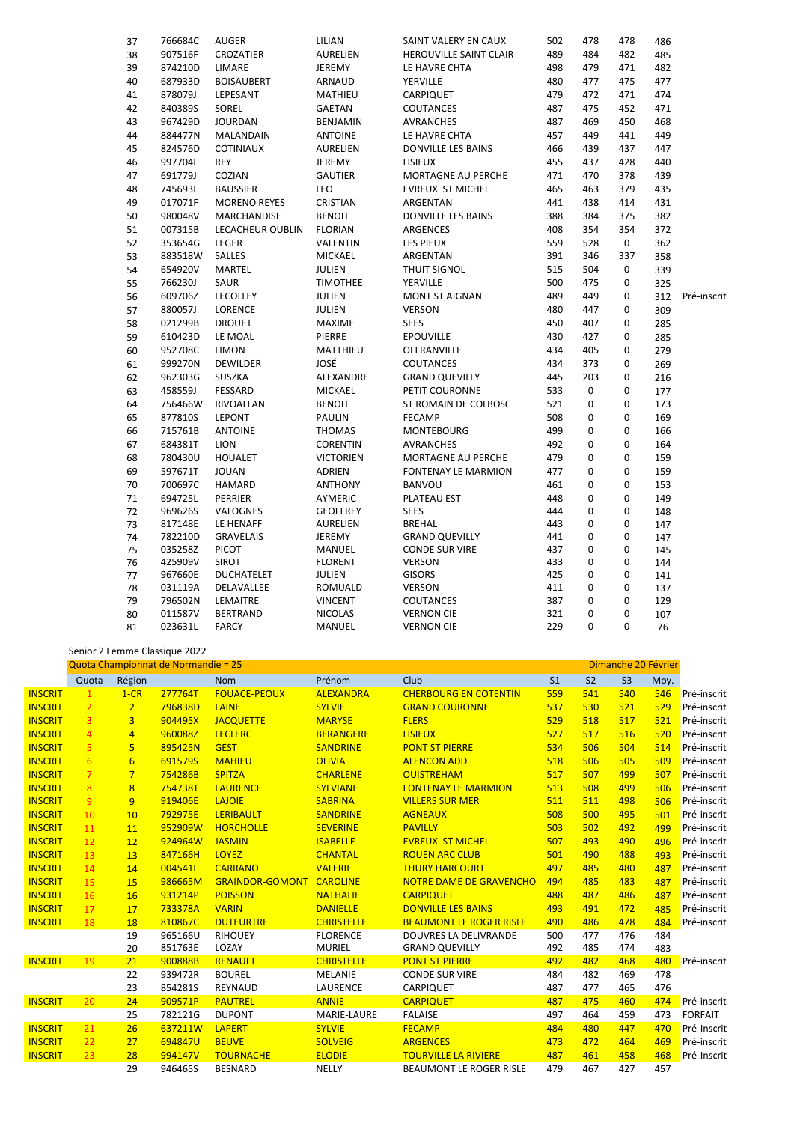| 37 | 766684C | AUGER               | LILIAN           | SAINT VALERY EN CAUX    | 502 | 478 | 478 | 486 |             |
|----|---------|---------------------|------------------|-------------------------|-----|-----|-----|-----|-------------|
| 38 | 907516F | CROZATIER           | AURELIEN         | HEROUVILLE SAINT CLAIR  | 489 | 484 | 482 | 485 |             |
| 39 | 874210D | LIMARE              | JEREMY           | LE HAVRE CHTA           | 498 | 479 | 471 | 482 |             |
| 40 | 687933D | <b>BOISAUBERT</b>   | ARNAUD           | YERVILLE                | 480 | 477 | 475 | 477 |             |
| 41 | 878079J | LEPESANT            | MATHIEU          | CARPIQUET               | 479 | 472 | 471 | 474 |             |
| 42 | 840389S | SOREL               | <b>GAETAN</b>    | <b>COUTANCES</b>        | 487 | 475 | 452 | 471 |             |
| 43 | 967429D | <b>JOURDAN</b>      | <b>BENJAMIN</b>  | <b>AVRANCHES</b>        | 487 | 469 | 450 | 468 |             |
| 44 | 884477N | MALANDAIN           | <b>ANTOINE</b>   | LE HAVRE CHTA           | 457 | 449 | 441 | 449 |             |
| 45 | 824576D | <b>COTINIAUX</b>    | AURELIEN         | DONVILLE LES BAINS      | 466 | 439 | 437 | 447 |             |
| 46 | 997704L | REY                 | <b>JEREMY</b>    | LISIEUX                 | 455 | 437 | 428 | 440 |             |
| 47 | 691779J | COZIAN              | <b>GAUTIER</b>   | MORTAGNE AU PERCHE      | 471 | 470 | 378 | 439 |             |
| 48 | 745693L | <b>BAUSSIER</b>     | LEO              | <b>EVREUX ST MICHEL</b> | 465 | 463 | 379 | 435 |             |
| 49 | 017071F | <b>MORENO REYES</b> | CRISTIAN         | ARGENTAN                | 441 | 438 | 414 | 431 |             |
| 50 | 980048V | MARCHANDISE         | <b>BENOIT</b>    | DONVILLE LES BAINS      | 388 | 384 | 375 | 382 |             |
| 51 | 007315B | LECACHEUR OUBLIN    | <b>FLORIAN</b>   | ARGENCES                | 408 | 354 | 354 | 372 |             |
| 52 | 353654G | LEGER               | VALENTIN         | LES PIEUX               | 559 | 528 | 0   | 362 |             |
| 53 | 883518W | SALLES              | <b>MICKAEL</b>   | ARGENTAN                | 391 | 346 | 337 | 358 |             |
| 54 | 654920V | MARTEL              | JULIEN           | THUIT SIGNOL            | 515 | 504 | 0   | 339 |             |
| 55 | 766230J | SAUR                | <b>TIMOTHEE</b>  | YERVILLE                | 500 | 475 | 0   | 325 |             |
| 56 | 609706Z | <b>LECOLLEY</b>     | JULIEN           | <b>MONT ST AIGNAN</b>   | 489 | 449 | 0   | 312 | Pré-inscrit |
| 57 | 880057J | LORENCE             | JULIEN           | <b>VERSON</b>           | 480 | 447 | 0   | 309 |             |
| 58 | 021299B | <b>DROUET</b>       | MAXIME           | <b>SEES</b>             | 450 | 407 | 0   | 285 |             |
| 59 | 610423D | LE MOAL             | PIERRE           | <b>EPOUVILLE</b>        | 430 | 427 | 0   | 285 |             |
| 60 | 952708C | <b>LIMON</b>        | MATTHIEU         | OFFRANVILLE             | 434 | 405 | 0   | 279 |             |
| 61 | 999270N | <b>DEWILDER</b>     | JOSÉ             | COUTANCES               | 434 | 373 | 0   | 269 |             |
| 62 | 962303G | SUSZKA              | ALEXANDRE        | <b>GRAND QUEVILLY</b>   | 445 | 203 | 0   | 216 |             |
| 63 | 458559J | FESSARD             | <b>MICKAEL</b>   | PETIT COURONNE          | 533 | 0   | 0   | 177 |             |
| 64 | 756466W | RIVOALLAN           | <b>BENOIT</b>    | ST ROMAIN DE COLBOSC    | 521 | 0   | 0   | 173 |             |
| 65 | 877810S | <b>LEPONT</b>       | <b>PAULIN</b>    | <b>FECAMP</b>           | 508 | 0   | 0   | 169 |             |
| 66 | 715761B | <b>ANTOINE</b>      | <b>THOMAS</b>    | <b>MONTEBOURG</b>       | 499 | 0   | 0   | 166 |             |
| 67 | 684381T | <b>LION</b>         | <b>CORENTIN</b>  | <b>AVRANCHES</b>        | 492 | 0   | 0   | 164 |             |
| 68 | 780430U | <b>HOUALET</b>      | <b>VICTORIEN</b> | MORTAGNE AU PERCHE      | 479 | 0   | 0   | 159 |             |
| 69 | 597671T | <b>JOUAN</b>        | ADRIEN           | FONTENAY LE MARMION     | 477 | 0   | 0   | 159 |             |
| 70 | 700697C | <b>HAMARD</b>       | <b>ANTHONY</b>   | <b>BANVOU</b>           | 461 | 0   | 0   | 153 |             |
| 71 | 694725L | <b>PERRIER</b>      | AYMERIC          | PLATEAU EST             | 448 | 0   | 0   | 149 |             |
| 72 | 969626S | VALOGNES            | <b>GEOFFREY</b>  | <b>SEES</b>             | 444 | 0   | 0   | 148 |             |
| 73 | 817148E | LE HENAFF           | <b>AURELIEN</b>  | <b>BREHAL</b>           | 443 | 0   | 0   | 147 |             |
| 74 | 782210D | <b>GRAVELAIS</b>    | JEREMY           | <b>GRAND QUEVILLY</b>   | 441 | 0   | 0   | 147 |             |
| 75 | 035258Z | <b>PICOT</b>        | MANUEL           | <b>CONDE SUR VIRE</b>   | 437 | 0   | 0   | 145 |             |
| 76 | 425909V | <b>SIROT</b>        | <b>FLORENT</b>   | <b>VERSON</b>           | 433 | 0   | 0   | 144 |             |
| 77 | 967660E | <b>DUCHATELET</b>   | JULIEN           | <b>GISORS</b>           | 425 | 0   | 0   | 141 |             |
| 78 | 031119A | DELAVALLEE          | ROMUALD          | <b>VERSON</b>           | 411 | 0   | 0   | 137 |             |
| 79 | 796502N | LEMAITRE            | <b>VINCENT</b>   | COUTANCES               | 387 | 0   | 0   | 129 |             |
| 80 | 011587V | <b>BERTRAND</b>     | <b>NICOLAS</b>   | <b>VERNON CIE</b>       | 321 | 0   | 0   | 107 |             |
| 81 | 023631L | <b>FARCY</b>        | <b>MANUEL</b>    | <b>VERNON CIE</b>       | 229 | 0   | 0   | 76  |             |
|    |         |                     |                  |                         |     |     |     |     |             |

## Senior 2 Femme Classique 2022

|                | Quota Championnat de Normandie = 25 |                 |         |                        |                   |                                |                |                | Dimanche 20 Février |      |                |  |  |
|----------------|-------------------------------------|-----------------|---------|------------------------|-------------------|--------------------------------|----------------|----------------|---------------------|------|----------------|--|--|
|                | Quota                               | Région          |         | <b>Nom</b>             | Prénom            | Club                           | S <sub>1</sub> | S <sub>2</sub> | S <sub>3</sub>      | Moy. |                |  |  |
| <b>INSCRIT</b> | 1                                   | $1-CR$          | 277764T | <b>FOUACE-PEOUX</b>    | <b>ALEXANDRA</b>  | <b>CHERBOURG EN COTENTIN</b>   | 559            | 541            | 540                 | 546  | Pré-inscrit    |  |  |
| <b>INSCRIT</b> | $\overline{2}$                      | 2 <sup>1</sup>  | 796838D | LAINE                  | <b>SYLVIE</b>     | <b>GRAND COURONNE</b>          | 537            | 530            | 521                 | 529  | Pré-inscrit    |  |  |
| <b>INSCRIT</b> | $\overline{3}$                      | $\overline{3}$  | 904495X | <b>JACQUETTE</b>       | <b>MARYSE</b>     | <b>FLERS</b>                   | 529            | 518            | 517                 | 521  | Pré-inscrit    |  |  |
| <b>INSCRIT</b> | $\overline{4}$                      | $\overline{4}$  | 960088Z | <b>LECLERC</b>         | <b>BERANGERE</b>  | <b>LISIEUX</b>                 | 527            | 517            | 516                 | 520  | Pré-inscrit    |  |  |
| <b>INSCRIT</b> | 5 <sup>1</sup>                      | 5 <sup>1</sup>  | 895425N | <b>GEST</b>            | <b>SANDRINE</b>   | <b>PONT ST PIERRE</b>          | 534            | 506            | 504                 | 514  | Pré-inscrit    |  |  |
| <b>INSCRIT</b> | 6                                   | $6\overline{6}$ | 691579S | <b>MAHIEU</b>          | <b>OLIVIA</b>     | <b>ALENCON ADD</b>             | 518            | 506            | 505                 | 509  | Pré-inscrit    |  |  |
| <b>INSCRIT</b> | $7\overline{ }$                     | $7\overline{ }$ | 754286B | <b>SPITZA</b>          | <b>CHARLENE</b>   | <b>OUISTREHAM</b>              | 517            | 507            | 499                 | 507  | Pré-inscrit    |  |  |
| <b>INSCRIT</b> | 8                                   | 8               | 754738T | <b>LAURENCE</b>        | <b>SYLVIANE</b>   | <b>FONTENAY LE MARMION</b>     | 513            | 508            | 499                 | 506  | Pré-inscrit    |  |  |
| <b>INSCRIT</b> | 9                                   | 9               | 919406E | <b>LAJOIE</b>          | <b>SABRINA</b>    | <b>VILLERS SUR MER</b>         | 511            | 511            | 498                 | 506  | Pré-inscrit    |  |  |
| <b>INSCRIT</b> | 10                                  | 10              | 792975E | <b>LERIBAULT</b>       | <b>SANDRINE</b>   | <b>AGNEAUX</b>                 | 508            | 500            | 495                 | 501  | Pré-inscrit    |  |  |
| <b>INSCRIT</b> | 11                                  | 11              | 952909W | <b>HORCHOLLE</b>       | <b>SEVERINE</b>   | <b>PAVILLY</b>                 | 503            | 502            | 492                 | 499  | Pré-inscrit    |  |  |
| <b>INSCRIT</b> | 12                                  | 12              | 924964W | <b>JASMIN</b>          | <b>ISABELLE</b>   | <b>EVREUX ST MICHEL</b>        | 507            | 493            | 490                 | 496  | Pré-inscrit    |  |  |
| <b>INSCRIT</b> | 13                                  | 13              | 847166H | <b>LOYEZ</b>           | <b>CHANTAL</b>    | <b>ROUEN ARC CLUB</b>          | 501            | 490            | 488                 | 493  | Pré-inscrit    |  |  |
| <b>INSCRIT</b> | 14                                  | 14              | 004541L | <b>CARRANO</b>         | <b>VALERIE</b>    | <b>THURY HARCOURT</b>          | 497            | 485            | 480                 | 487  | Pré-inscrit    |  |  |
| <b>INSCRIT</b> | 15                                  | 15              | 986665M | <b>GRAINDOR-GOMONT</b> | <b>CAROLINE</b>   | NOTRE DAME DE GRAVENCHO        | 494            | 485            | 483                 | 487  | Pré-inscrit    |  |  |
| <b>INSCRIT</b> | 16                                  | 16              | 931214P | <b>POISSON</b>         | <b>NATHALIE</b>   | <b>CARPIQUET</b>               | 488            | 487            | 486                 | 487  | Pré-inscrit    |  |  |
| <b>INSCRIT</b> | 17                                  | 17              | 733378A | <b>VARIN</b>           | <b>DANIELLE</b>   | <b>DONVILLE LES BAINS</b>      | 493            | 491            | 472                 | 485  | Pré-inscrit    |  |  |
| <b>INSCRIT</b> | 18                                  | 18              | 810867C | <b>DUTEURTRE</b>       | <b>CHRISTELLE</b> | <b>BEAUMONT LE ROGER RISLE</b> | 490            | 486            | 478                 | 484  | Pré-inscrit    |  |  |
|                |                                     | 19              | 965166U | <b>RIHOUEY</b>         | <b>FLORENCE</b>   | <b>DOUVRES LA DELIVRANDE</b>   | 500            | 477            | 476                 | 484  |                |  |  |
|                |                                     | 20              | 851763E | LOZAY                  | <b>MURIEL</b>     | <b>GRAND QUEVILLY</b>          | 492            | 485            | 474                 | 483  |                |  |  |
| <b>INSCRIT</b> | 19                                  | 21              | 900888B | <b>RENAULT</b>         | <b>CHRISTELLE</b> | <b>PONT ST PIERRE</b>          | 492            | 482            | 468                 | 480  | Pré-inscrit    |  |  |
|                |                                     | 22              | 939472R | <b>BOUREL</b>          | <b>MELANIE</b>    | <b>CONDE SUR VIRE</b>          | 484            | 482            | 469                 | 478  |                |  |  |
|                |                                     | 23              | 854281S | REYNAUD                | <b>LAURENCE</b>   | CARPIQUET                      | 487            | 477            | 465                 | 476  |                |  |  |
| <b>INSCRIT</b> | 20                                  | 24              | 909571P | <b>PAUTREL</b>         | <b>ANNIE</b>      | <b>CARPIQUET</b>               | 487            | 475            | 460                 | 474  | Pré-inscrit    |  |  |
|                |                                     | 25              | 782121G | <b>DUPONT</b>          | MARIE-LAURE       | <b>FALAISE</b>                 | 497            | 464            | 459                 | 473  | <b>FORFAIT</b> |  |  |
| <b>INSCRIT</b> | 21                                  | 26              | 637211W | <b>LAPERT</b>          | <b>SYLVIE</b>     | <b>FECAMP</b>                  | 484            | 480            | 447                 | 470  | Pré-Inscrit    |  |  |
| <b>INSCRIT</b> | 22                                  | 27              | 694847U | <b>BEUVE</b>           | <b>SOLVEIG</b>    | <b>ARGENCES</b>                | 473            | 472            | 464                 | 469  | Pré-inscrit    |  |  |
| <b>INSCRIT</b> | 23                                  | 28              | 994147V | <b>TOURNACHE</b>       | <b>ELODIE</b>     | <b>TOURVILLE LA RIVIERE</b>    | 487            | 461            | 458                 | 468  | Pré-Inscrit    |  |  |
|                |                                     | 29              | 946465S | <b>BESNARD</b>         | NELLY             | <b>BEAUMONT LE ROGER RISLE</b> | 479            | 467            | 427                 | 457  |                |  |  |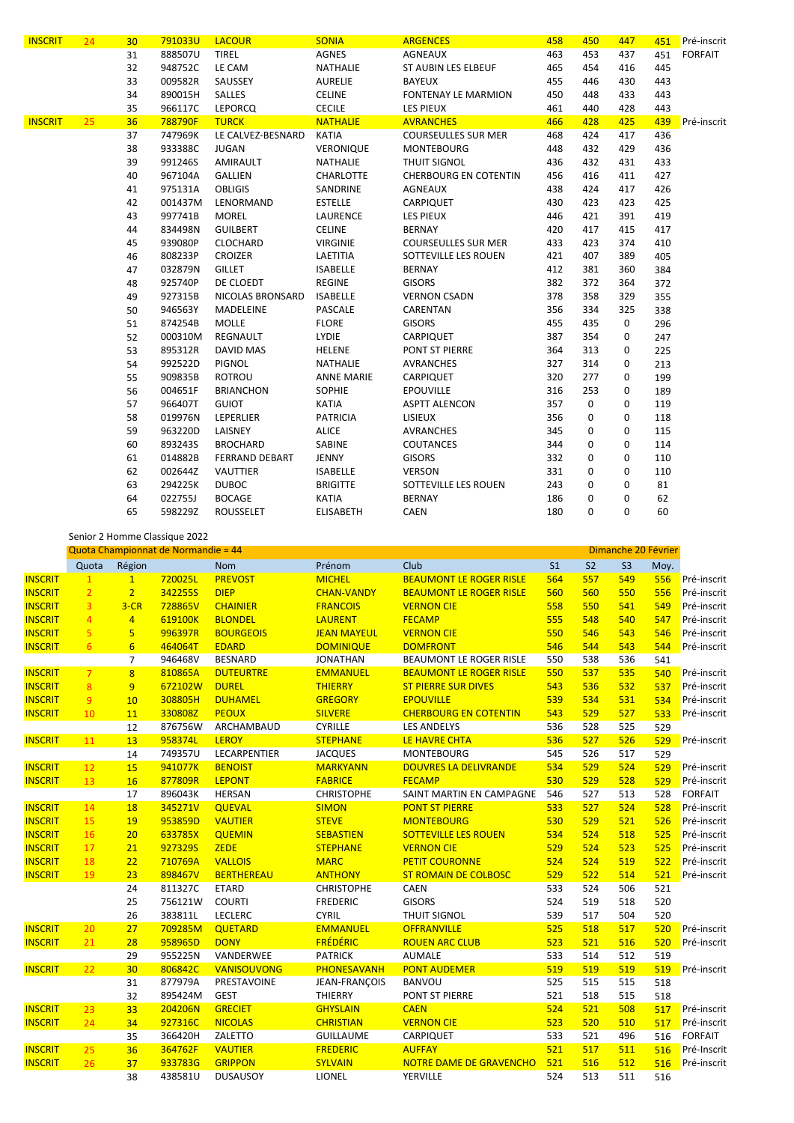| 24 | 30 | 791033U        | <b>LACOUR</b>         | <b>SONIA</b>      | <b>ARGENCES</b>              | 458                  | 450         | 447             | 451         | Pré-inscrit    |
|----|----|----------------|-----------------------|-------------------|------------------------------|----------------------|-------------|-----------------|-------------|----------------|
|    | 31 | 888507U        | <b>TIREL</b>          | AGNES             | AGNEAUX                      | 463                  | 453         | 437             | 451         | <b>FORFAIT</b> |
|    | 32 | 948752C        | LE CAM                | <b>NATHALIE</b>   | ST AUBIN LES ELBEUF          | 465                  | 454         | 416             | 445         |                |
|    | 33 | 009582R        | SAUSSEY               | <b>AURELIE</b>    | <b>BAYEUX</b>                | 455                  | 446         | 430             | 443         |                |
|    | 34 | 890015H        | <b>SALLES</b>         | <b>CELINE</b>     | <b>FONTENAY LE MARMION</b>   | 450                  | 448         | 433             | 443         |                |
|    | 35 | 966117C        | <b>LEPORCQ</b>        | <b>CECILE</b>     | <b>LES PIEUX</b>             | 461                  | 440         | 428             | 443         |                |
| 25 | 36 | 788790F        | <b>TURCK</b>          | <b>NATHALIE</b>   | <b>AVRANCHES</b>             | 466                  | 428         | 425             | 439         | Pré-inscrit    |
|    | 37 | 747969K        | LE CALVEZ-BESNARD     | <b>KATIA</b>      | <b>COURSEULLES SUR MER</b>   | 468                  | 424         | 417             | 436         |                |
|    | 38 | 933388C        | <b>JUGAN</b>          | VERONIQUE         | <b>MONTEBOURG</b>            | 448                  | 432         | 429             | 436         |                |
|    | 39 | 991246S        | AMIRAULT              | NATHALIE          | THUIT SIGNOL                 | 436                  | 432         | 431             | 433         |                |
|    | 40 | 967104A        | <b>GALLIEN</b>        | CHARLOTTE         | <b>CHERBOURG EN COTENTIN</b> | 456                  | 416         | 411             | 427         |                |
|    | 41 | 975131A        | <b>OBLIGIS</b>        | SANDRINE          | AGNEAUX                      | 438                  | 424         | 417             | 426         |                |
|    | 42 | 001437M        | LENORMAND             | <b>ESTELLE</b>    | CARPIQUET                    | 430                  | 423         | 423             | 425         |                |
|    | 43 | 997741B        | <b>MOREL</b>          | LAURENCE          | <b>LES PIEUX</b>             | 446                  | 421         | 391             | 419         |                |
|    | 44 | 834498N        | <b>GUILBERT</b>       | <b>CELINE</b>     | <b>BERNAY</b>                | 420                  | 417         | 415             | 417         |                |
|    | 45 | 939080P        | CLOCHARD              | <b>VIRGINIE</b>   | <b>COURSEULLES SUR MER</b>   | 433                  | 423         | 374             | 410         |                |
|    | 46 | 808233P        | <b>CROIZER</b>        | LAETITIA          | SOTTEVILLE LES ROUEN         | 421                  | 407         | 389             | 405         |                |
|    | 47 | 032879N        | <b>GILLET</b>         | <b>ISABELLE</b>   | <b>BERNAY</b>                | 412                  | 381         | 360             | 384         |                |
|    | 48 | 925740P        | DE CLOEDT             | <b>REGINE</b>     | <b>GISORS</b>                | 382                  | 372         | 364             | 372         |                |
|    | 49 | 927315B        | NICOLAS BRONSARD      | <b>ISABELLE</b>   | <b>VERNON CSADN</b>          | 378                  | 358         | 329             | 355         |                |
|    | 50 | 946563Y        | MADELEINE             | PASCALE           | CARENTAN                     | 356                  | 334         | 325             | 338         |                |
|    | 51 | 874254B        | <b>MOLLE</b>          | <b>FLORE</b>      | <b>GISORS</b>                | 455                  | 435         | 0               | 296         |                |
|    | 52 | 000310M        | REGNAULT              | <b>LYDIE</b>      | CARPIQUET                    | 387                  | 354         | 0               | 247         |                |
|    | 53 | 895312R        | <b>DAVID MAS</b>      | HELENE            | PONT ST PIERRE               | 364                  | 313         | 0               | 225         |                |
|    | 54 | 992522D        | PIGNOL                | <b>NATHALIE</b>   | <b>AVRANCHES</b>             | 327                  | 314         | 0               | 213         |                |
|    |    | 909835B        | <b>ROTROU</b>         | <b>ANNE MARIE</b> | CARPIQUET                    | 320                  |             | 0               | 199         |                |
|    |    | 004651F        | <b>BRIANCHON</b>      | <b>SOPHIE</b>     | <b>EPOUVILLE</b>             |                      |             | 0               | 189         |                |
|    |    |                |                       |                   |                              |                      |             |                 |             |                |
|    | 58 | 019976N        | LEPERLIER             | <b>PATRICIA</b>   | LISIEUX                      | 356                  | 0           | 0               | 118         |                |
|    | 59 | 963220D        | LAISNEY               | <b>ALICE</b>      | <b>AVRANCHES</b>             | 345                  | $\mathbf 0$ | 0               | 115         |                |
|    | 60 | 893243S        | <b>BROCHARD</b>       | SABINE            | <b>COUTANCES</b>             | 344                  | 0           | 0               | 114         |                |
|    | 61 | 014882B        | <b>FERRAND DEBART</b> | JENNY             | <b>GISORS</b>                | 332                  | 0           | 0               | 110         |                |
|    | 62 | 002644Z        | <b>VAUTTIER</b>       | <b>ISABELLE</b>   | <b>VERSON</b>                | 331                  | 0           | 0               | 110         |                |
|    | 63 | 294225K        | <b>DUBOC</b>          | <b>BRIGITTE</b>   | SOTTEVILLE LES ROUEN         | 243                  | 0           | 0               | 81          |                |
|    | 64 | 022755J        | <b>BOCAGE</b>         | <b>KATIA</b>      | <b>BERNAY</b>                | 186                  | 0           | 0               | 62          |                |
|    | 65 | 598229Z        | <b>ROUSSELET</b>      | <b>ELISABETH</b>  | <b>CAEN</b>                  | 180                  | 0           | 0               | 60          |                |
|    |    | 55<br>56<br>57 | 966407T               | <b>GUIOT</b>      | <b>KATIA</b>                 | <b>ASPTT ALENCON</b> | 316<br>357  | 277<br>253<br>0 | $\mathbf 0$ | 119            |

Senior 2 Homme Classique 2022

|                |                 |                 | Quota Championnat de Normandie = 44 |                    | Dimanche 20 Février |                                |                |                |                |      |                |
|----------------|-----------------|-----------------|-------------------------------------|--------------------|---------------------|--------------------------------|----------------|----------------|----------------|------|----------------|
|                | Quota           | Région          |                                     | <b>Nom</b>         | Prénom              | Club                           | S <sub>1</sub> | S <sub>2</sub> | S <sub>3</sub> | Moy. |                |
| <b>INSCRIT</b> | $\mathbf{1}$    | $\mathbf{1}$    | 720025L                             | <b>PREVOST</b>     | <b>MICHEL</b>       | <b>BEAUMONT LE ROGER RISLE</b> | 564            | 557            | 549            | 556  | Pré-inscrit    |
| <b>INSCRIT</b> | $\overline{2}$  | 2 <sup>1</sup>  | 342255S                             | <b>DIEP</b>        | <b>CHAN-VANDY</b>   | <b>BEAUMONT LE ROGER RISLE</b> | 560            | 560            | 550            | 556  | Pré-inscrit    |
| <b>INSCRIT</b> | $\overline{3}$  | $3-CR$          | 728865V                             | <b>CHAINIER</b>    | <b>FRANCOIS</b>     | <b>VERNON CIE</b>              | 558            | 550            | 541            | 549  | Pré-inscrit    |
| <b>INSCRIT</b> | $\overline{4}$  | $\overline{4}$  | 619100K                             | <b>BLONDEL</b>     | <b>LAURENT</b>      | <b>FECAMP</b>                  | 555            | 548            | 540            | 547  | Pré-inscrit    |
| <b>INSCRIT</b> | $\overline{5}$  | $\overline{5}$  | 996397R                             | <b>BOURGEOIS</b>   | <b>JEAN MAYEUL</b>  | <b>VERNON CIE</b>              | 550            | 546            | 543            | 546  | Pré-inscrit    |
| <b>INSCRIT</b> | 6               | $6\overline{6}$ | 464064T                             | <b>EDARD</b>       | <b>DOMINIQUE</b>    | <b>DOMFRONT</b>                | 546            | 544            | 543            | 544  | Pré-inscrit    |
|                |                 | $\overline{7}$  | 946468V                             | <b>BESNARD</b>     | <b>JONATHAN</b>     | BEAUMONT LE ROGER RISLE        | 550            | 538            | 536            | 541  |                |
| <b>INSCRIT</b> | $7\overline{ }$ | 8               | 810865A                             | <b>DUTEURTRE</b>   | <b>EMMANUEL</b>     | <b>BEAUMONT LE ROGER RISLE</b> | 550            | 537            | 535            | 540  | Pré-inscrit    |
| <b>INSCRIT</b> | 8               | 9               | 672102W                             | <b>DUREL</b>       | <b>THIERRY</b>      | <b>ST PIERRE SUR DIVES</b>     | 543            | 536            | 532            | 537  | Pré-inscrit    |
| <b>INSCRIT</b> | 9               | 10              | 308805H                             | <b>DUHAMEL</b>     | <b>GREGORY</b>      | <b>EPOUVILLE</b>               | 539            | 534            | 531            | 534  | Pré-inscrit    |
| <b>INSCRIT</b> | 10              | 11              | 330808Z                             | <b>PEOUX</b>       | <b>SILVERE</b>      | <b>CHERBOURG EN COTENTIN</b>   | 543            | 529            | 527            | 533  | Pré-inscrit    |
|                |                 | 12              | 876756W                             | ARCHAMBAUD         | <b>CYRILLE</b>      | <b>LES ANDELYS</b>             | 536            | 528            | 525            | 529  |                |
| <b>INSCRIT</b> | 11              | 13              | 958374L                             | <b>LEROY</b>       | <b>STEPHANE</b>     | LE HAVRE CHTA                  | 536            | 527            | 526            | 529  | Pré-inscrit    |
|                |                 | 14              | 749357U                             | LECARPENTIER       | <b>JACQUES</b>      | <b>MONTEBOURG</b>              | 545            | 526            | 517            | 529  |                |
| <b>INSCRIT</b> | 12              | 15              | 941077K                             | <b>BENOIST</b>     | <b>MARKYANN</b>     | <b>DOUVRES LA DELIVRANDE</b>   | 534            | 529            | 524            | 529  | Pré-inscrit    |
| <b>INSCRIT</b> | 13              | <b>16</b>       | 877809R                             | <b>LEPONT</b>      | <b>FABRICE</b>      | <b>FECAMP</b>                  | 530            | 529            | 528            | 529  | Pré-inscrit    |
|                |                 | 17              | 896043K                             | <b>HERSAN</b>      | <b>CHRISTOPHE</b>   | SAINT MARTIN EN CAMPAGNE       | 546            | 527            | 513            | 528  | <b>FORFAIT</b> |
| <b>INSCRIT</b> | 14              | 18              | 345271V                             | <b>QUEVAL</b>      | <b>SIMON</b>        | <b>PONT ST PIERRE</b>          | 533            | 527            | 524            | 528  | Pré-inscrit    |
| <b>INSCRIT</b> | 15              | 19              | 953859D                             | <b>VAUTIER</b>     | <b>STEVE</b>        | <b>MONTEBOURG</b>              | 530            | 529            | 521            | 526  | Pré-inscrit    |
| <b>INSCRIT</b> | 16              | 20              | 633785X                             | <b>QUEMIN</b>      | <b>SEBASTIEN</b>    | <b>SOTTEVILLE LES ROUEN</b>    | 534            | 524            | 518            | 525  | Pré-inscrit    |
| <b>INSCRIT</b> | 17              | 21              | 9273295                             | <b>ZEDE</b>        | <b>STEPHANE</b>     | <b>VERNON CIE</b>              | 529            | 524            | 523            | 525  | Pré-inscrit    |
| <b>INSCRIT</b> | 18              | 22              | 710769A                             | <b>VALLOIS</b>     | <b>MARC</b>         | <b>PETIT COURONNE</b>          | 524            | 524            | 519            | 522  | Pré-inscrit    |
| <b>INSCRIT</b> | 19              | 23              | 898467V                             | <b>BERTHEREAU</b>  | <b>ANTHONY</b>      | <b>ST ROMAIN DE COLBOSC</b>    | 529            | 522            | 514            | 521  | Pré-inscrit    |
|                |                 | 24              | 811327C                             | <b>ETARD</b>       | <b>CHRISTOPHE</b>   | <b>CAEN</b>                    | 533            | 524            | 506            | 521  |                |
|                |                 | 25              | 756121W                             | <b>COURTI</b>      | <b>FREDERIC</b>     | <b>GISORS</b>                  | 524            | 519            | 518            | 520  |                |
|                |                 | 26              | 383811L                             | LECLERC            | <b>CYRIL</b>        | <b>THUIT SIGNOL</b>            | 539            | 517            | 504            | 520  |                |
| <b>INSCRIT</b> | 20              | 27              | 709285M                             | <b>QUETARD</b>     | <b>EMMANUEL</b>     | <b>OFFRANVILLE</b>             | 525            | 518            | 517            | 520  | Pré-inscrit    |
| <b>INSCRIT</b> | 21              | 28              | 958965D                             | <b>DONY</b>        | <b>FRÉDÉRIC</b>     | <b>ROUEN ARC CLUB</b>          | 523            | 521            | 516            | 520  | Pré-inscrit    |
|                |                 | 29              | 955225N                             | VANDERWEE          | <b>PATRICK</b>      | <b>AUMALE</b>                  | 533            | 514            | 512            | 519  |                |
| <b>INSCRIT</b> | 22              | 30              | 806842C                             | <b>VANISOUVONG</b> | PHONESAVANH         | <b>PONT AUDEMER</b>            | 519            | 519            | 519            | 519  | Pré-inscrit    |
|                |                 | 31              | 877979A                             | PRESTAVOINE        | JEAN-FRANÇOIS       | <b>BANVOU</b>                  | 525            | 515            | 515            | 518  |                |
|                |                 | 32              | 895424M                             | <b>GEST</b>        | THIERRY             | PONT ST PIERRE                 | 521            | 518            | 515            | 518  |                |
| <b>INSCRIT</b> | 23              | 33              | 204206N                             | <b>GRECIET</b>     | <b>GHYSLAIN</b>     | <b>CAEN</b>                    | 524            | 521            | 508            | 517  | Pré-inscrit    |
| <b>INSCRIT</b> | 24              | 34              | 927316C                             | <b>NICOLAS</b>     | <b>CHRISTIAN</b>    | <b>VERNON CIE</b>              | 523            | 520            | 510            | 517  | Pré-inscrit    |
|                |                 | 35              | 366420H                             | ZALETTO            | <b>GUILLAUME</b>    | CARPIQUET                      | 533            | 521            | 496            | 516  | <b>FORFAIT</b> |
| <b>INSCRIT</b> | 25              | 36              | 364762F                             | <b>VAUTIER</b>     | <b>FREDERIC</b>     | <b>AUFFAY</b>                  | 521            | 517            | 511            | 516  | Pré-Inscrit    |
| <b>INSCRIT</b> | 26              | 37              | 933783G                             | <b>GRIPPON</b>     | <b>SYLVAIN</b>      | <b>NOTRE DAME DE GRAVENCHO</b> | 521            | 516            | 512            | 516  | Pré-inscrit    |
|                |                 | 38              | 438581U                             | <b>DUSAUSOY</b>    | LIONEL              | YERVILLE                       | 524            | 513            | 511            | 516  |                |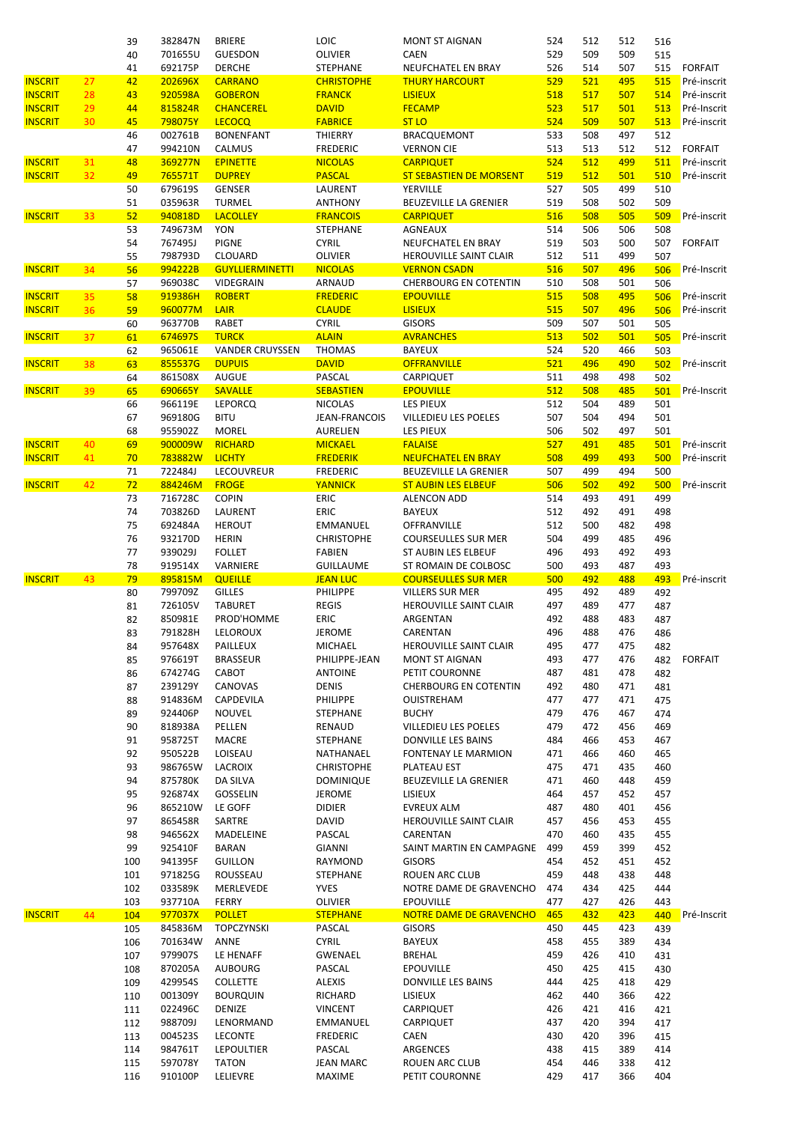|                |                 | 39  | 382847N | <b>BRIERE</b>          | LOIC              | MONT ST AIGNAN                 | 524 | 512 | 512 | 516 |                |
|----------------|-----------------|-----|---------|------------------------|-------------------|--------------------------------|-----|-----|-----|-----|----------------|
|                |                 | 40  | 701655U | <b>GUESDON</b>         | <b>OLIVIER</b>    | <b>CAEN</b>                    | 529 | 509 | 509 | 515 |                |
|                |                 | 41  | 692175P | <b>DERCHE</b>          | <b>STEPHANE</b>   | NEUFCHATEL EN BRAY             | 526 | 514 | 507 | 515 | <b>FORFAIT</b> |
| <b>INSCRIT</b> | 27              | 42  | 202696X | <b>CARRANO</b>         | <b>CHRISTOPHE</b> | <b>THURY HARCOURT</b>          | 529 | 521 | 495 | 515 | Pré-inscrit    |
| <b>INSCRIT</b> | 28              | 43  | 920598A | <b>GOBERON</b>         | <b>FRANCK</b>     | <b>LISIEUX</b>                 | 518 | 517 | 507 | 514 | Pré-inscrit    |
| <b>INSCRIT</b> | 29              | 44  | 815824R | <b>CHANCEREL</b>       | <b>DAVID</b>      | <b>FECAMP</b>                  | 523 | 517 | 501 | 513 | Pré-Inscrit    |
| <b>INSCRIT</b> | 30              | 45  | 798075Y | <b>LECOCQ</b>          | <b>FABRICE</b>    | <b>ST LO</b>                   | 524 | 509 | 507 | 513 | Pré-inscrit    |
|                |                 |     |         |                        |                   |                                |     |     |     |     |                |
|                |                 | 46  | 002761B | <b>BONENFANT</b>       | THIERRY           | <b>BRACQUEMONT</b>             | 533 | 508 | 497 | 512 |                |
|                |                 | 47  | 994210N | CALMUS                 | <b>FREDERIC</b>   | <b>VERNON CIE</b>              | 513 | 513 | 512 | 512 | <b>FORFAIT</b> |
| <b>INSCRIT</b> | 31              | 48  | 369277N | <b>EPINETTE</b>        | <b>NICOLAS</b>    | <b>CARPIQUET</b>               | 524 | 512 | 499 | 511 | Pré-inscrit    |
| <b>INSCRIT</b> | 32 <sub>2</sub> | 49  | 765571T | <b>DUPREY</b>          | <b>PASCAL</b>     | <b>ST SEBASTIEN DE MORSENT</b> | 519 | 512 | 501 | 510 | Pré-inscrit    |
|                |                 | 50  | 679619S | <b>GENSER</b>          | LAURENT           | YERVILLE                       | 527 | 505 | 499 | 510 |                |
|                |                 | 51  | 035963R | <b>TURMEL</b>          | <b>ANTHONY</b>    | BEUZEVILLE LA GRENIER          | 519 | 508 | 502 | 509 |                |
| <b>INSCRIT</b> | 33              | 52  | 940818D | <b>LACOLLEY</b>        | <b>FRANCOIS</b>   | <b>CARPIQUET</b>               | 516 | 508 | 505 | 509 | Pré-inscrit    |
|                |                 | 53  | 749673M | YON                    | STEPHANE          | AGNEAUX                        | 514 | 506 | 506 | 508 |                |
|                |                 |     |         |                        |                   |                                |     |     |     |     |                |
|                |                 | 54  | 767495J | <b>PIGNE</b>           | <b>CYRIL</b>      | NEUFCHATEL EN BRAY             | 519 | 503 | 500 | 507 | <b>FORFAIT</b> |
|                |                 | 55  | 798793D | <b>CLOUARD</b>         | <b>OLIVIER</b>    | HEROUVILLE SAINT CLAIR         | 512 | 511 | 499 | 507 |                |
| <b>INSCRIT</b> | 34              | 56  | 994222B | <b>GUYLLIERMINETTI</b> | <b>NICOLAS</b>    | <b>VERNON CSADN</b>            | 516 | 507 | 496 | 506 | Pré-Inscrit    |
|                |                 | 57  | 969038C | VIDEGRAIN              | ARNAUD            | <b>CHERBOURG EN COTENTIN</b>   | 510 | 508 | 501 | 506 |                |
| <b>INSCRIT</b> | 35              | 58  | 919386H | <b>ROBERT</b>          | <b>FREDERIC</b>   | <b>EPOUVILLE</b>               | 515 | 508 | 495 | 506 | Pré-inscrit    |
| <b>INSCRIT</b> | 36              | 59  | 960077M | LAIR                   | <b>CLAUDE</b>     | <b>LISIEUX</b>                 | 515 | 507 | 496 | 506 | Pré-inscrit    |
|                |                 | 60  | 963770B | <b>RABET</b>           | <b>CYRIL</b>      | <b>GISORS</b>                  | 509 | 507 | 501 | 505 |                |
| <b>INSCRIT</b> | 37              | 61  | 674697S | <b>TURCK</b>           | <b>ALAIN</b>      | <b>AVRANCHES</b>               | 513 | 502 | 501 | 505 | Pré-inscrit    |
|                |                 |     |         |                        |                   |                                |     |     |     |     |                |
|                |                 | 62  | 965061E | <b>VANDER CRUYSSEN</b> | <b>THOMAS</b>     | <b>BAYEUX</b>                  | 524 | 520 | 466 | 503 |                |
| <b>INSCRIT</b> | 38              | 63  | 855537G | <b>DUPUIS</b>          | <b>DAVID</b>      | <b>OFFRANVILLE</b>             | 521 | 496 | 490 | 502 | Pré-inscrit    |
|                |                 | 64  | 861508X | <b>AUGUE</b>           | PASCAL            | CARPIQUET                      | 511 | 498 | 498 | 502 |                |
| <b>INSCRIT</b> | 39              | 65  | 690665Y | <b>SAVALLE</b>         | <b>SEBASTIEN</b>  | <b>EPOUVILLE</b>               | 512 | 508 | 485 | 501 | Pré-Inscrit    |
|                |                 | 66  | 966119E | <b>LEPORCQ</b>         | <b>NICOLAS</b>    | <b>LES PIEUX</b>               | 512 | 504 | 489 | 501 |                |
|                |                 | 67  | 969180G | <b>BITU</b>            | JEAN-FRANCOIS     | VILLEDIEU LES POELES           | 507 | 504 | 494 | 501 |                |
|                |                 | 68  | 955902Z | <b>MOREL</b>           | AURELIEN          | <b>LES PIEUX</b>               | 506 | 502 | 497 | 501 |                |
|                |                 |     | 900009W | <b>RICHARD</b>         |                   | <b>FALAISE</b>                 | 527 | 491 | 485 |     | Pré-inscrit    |
| <b>INSCRIT</b> | 40              | 69  |         |                        | <b>MICKAEL</b>    |                                |     |     |     | 501 |                |
| <b>INSCRIT</b> | 41              | 70  | 783882W | <b>LICHTY</b>          | <b>FREDERIK</b>   | <b>NEUFCHATEL EN BRAY</b>      | 508 | 499 | 493 | 500 | Pré-inscrit    |
|                |                 | 71  | 722484J | LECOUVREUR             | <b>FREDERIC</b>   | BEUZEVILLE LA GRENIER          | 507 | 499 | 494 | 500 |                |
| <b>INSCRIT</b> | 42              | 72  | 884246M | <b>FROGE</b>           | <b>YANNICK</b>    | <b>ST AUBIN LES ELBEUF</b>     | 506 | 502 | 492 | 500 | Pré-inscrit    |
|                |                 | 73  | 716728C | <b>COPIN</b>           | ERIC              | <b>ALENCON ADD</b>             | 514 | 493 | 491 | 499 |                |
|                |                 | 74  | 703826D | LAURENT                | ERIC              | <b>BAYEUX</b>                  | 512 | 492 | 491 | 498 |                |
|                |                 | 75  | 692484A | <b>HEROUT</b>          | EMMANUEL          | OFFRANVILLE                    | 512 | 500 | 482 | 498 |                |
|                |                 | 76  | 932170D | <b>HERIN</b>           | <b>CHRISTOPHE</b> | <b>COURSEULLES SUR MER</b>     | 504 | 499 | 485 | 496 |                |
|                |                 |     |         |                        |                   |                                |     |     |     |     |                |
|                |                 | 77  | 939029J | <b>FOLLET</b>          | <b>FABIEN</b>     | ST AUBIN LES ELBEUF            | 496 | 493 | 492 | 493 |                |
|                |                 | 78  | 919514X | VARNIERE               | <b>GUILLAUME</b>  | ST ROMAIN DE COLBOSC           | 500 | 493 | 487 | 493 |                |
| <b>INSCRIT</b> | 43              | 79  | 895815M | <b>QUEILLE</b>         | <b>JEAN LUC</b>   | <b>COURSEULLES SUR MER</b>     | 500 | 492 | 488 | 493 | Pré-inscrit    |
|                |                 | 80  | 799709Z | <b>GILLES</b>          | <b>PHILIPPE</b>   | <b>VILLERS SUR MER</b>         | 495 | 492 | 489 | 492 |                |
|                |                 | 81  | 726105V | <b>TABURET</b>         | <b>REGIS</b>      | HEROUVILLE SAINT CLAIR         | 497 | 489 | 477 | 487 |                |
|                |                 | 82  | 850981E | PROD'HOMME             | <b>ERIC</b>       | ARGENTAN                       | 492 | 488 | 483 | 487 |                |
|                |                 | 83  | 791828H | LELOROUX               | <b>JEROME</b>     | CARENTAN                       | 496 | 488 | 476 | 486 |                |
|                |                 |     | 957648X | PAILLEUX               | MICHAEL           | HEROUVILLE SAINT CLAIR         | 495 | 477 | 475 |     |                |
|                |                 | 84  |         |                        |                   |                                |     |     |     | 482 |                |
|                |                 | 85  | 976619T | <b>BRASSEUR</b>        | PHILIPPE-JEAN     | MONT ST AIGNAN                 | 493 | 477 | 476 | 482 | FORFAIT        |
|                |                 | 86  | 674274G | CABOT                  | <b>ANTOINE</b>    | PETIT COURONNE                 | 487 | 481 | 478 | 482 |                |
|                |                 | 87  | 239129Y | CANOVAS                | DENIS             | <b>CHERBOURG EN COTENTIN</b>   | 492 | 480 | 471 | 481 |                |
|                |                 | 88  | 914836M | CAPDEVILA              | PHILIPPE          | OUISTREHAM                     | 477 | 477 | 471 | 475 |                |
|                |                 | 89  | 924406P | <b>NOUVEL</b>          | <b>STEPHANE</b>   | <b>BUCHY</b>                   | 479 | 476 | 467 | 474 |                |
|                |                 | 90  | 818938A | PELLEN                 | RENAUD            | VILLEDIEU LES POELES           | 479 | 472 | 456 | 469 |                |
|                |                 | 91  | 958725T | MACRE                  | STEPHANE          | DONVILLE LES BAINS             | 484 | 466 | 453 | 467 |                |
|                |                 |     |         |                        |                   |                                |     |     |     |     |                |
|                |                 | 92  | 950522B | LOISEAU                | NATHANAEL         | FONTENAY LE MARMION            | 471 | 466 | 460 | 465 |                |
|                |                 | 93  | 986765W | <b>LACROIX</b>         | <b>CHRISTOPHE</b> | PLATEAU EST                    | 475 | 471 | 435 | 460 |                |
|                |                 | 94  | 875780K | DA SILVA               | <b>DOMINIQUE</b>  | BEUZEVILLE LA GRENIER          | 471 | 460 | 448 | 459 |                |
|                |                 | 95  | 926874X | GOSSELIN               | <b>JEROME</b>     | LISIEUX                        | 464 | 457 | 452 | 457 |                |
|                |                 | 96  | 865210W | LE GOFF                | <b>DIDIER</b>     | EVREUX ALM                     | 487 | 480 | 401 | 456 |                |
|                |                 | 97  | 865458R | SARTRE                 | DAVID             | HEROUVILLE SAINT CLAIR         | 457 | 456 | 453 | 455 |                |
|                |                 | 98  | 946562X | MADELEINE              | PASCAL            | CARENTAN                       | 470 | 460 | 435 | 455 |                |
|                |                 | 99  | 925410F | <b>BARAN</b>           | <b>GIANNI</b>     | SAINT MARTIN EN CAMPAGNE       | 499 | 459 | 399 | 452 |                |
|                |                 | 100 |         |                        |                   |                                |     |     | 451 |     |                |
|                |                 |     | 941395F | GUILLON                | RAYMOND           | <b>GISORS</b>                  | 454 | 452 |     | 452 |                |
|                |                 | 101 | 971825G | ROUSSEAU               | STEPHANE          | ROUEN ARC CLUB                 | 459 | 448 | 438 | 448 |                |
|                |                 | 102 | 033589K | MERLEVEDE              | YVES              | NOTRE DAME DE GRAVENCHO        | 474 | 434 | 425 | 444 |                |
|                |                 | 103 | 937710A | FERRY                  | OLIVIER           | <b>EPOUVILLE</b>               | 477 | 427 | 426 | 443 |                |
| <b>INSCRIT</b> | 44              | 104 | 977037X | <b>POLLET</b>          | <b>STEPHANE</b>   | NOTRE DAME DE GRAVENCHO        | 465 | 432 | 423 | 440 | Pré-Inscrit    |
|                |                 | 105 | 845836M | <b>TOPCZYNSKI</b>      | PASCAL            | <b>GISORS</b>                  | 450 | 445 | 423 | 439 |                |
|                |                 | 106 | 701634W | ANNE                   | <b>CYRIL</b>      | <b>BAYEUX</b>                  | 458 | 455 | 389 | 434 |                |
|                |                 | 107 | 979907S | LE HENAFF              | GWENAEL           | <b>BREHAL</b>                  | 459 | 426 | 410 | 431 |                |
|                |                 | 108 | 870205A | <b>AUBOURG</b>         | PASCAL            | <b>EPOUVILLE</b>               | 450 | 425 | 415 | 430 |                |
|                |                 |     |         |                        |                   |                                |     |     |     |     |                |
|                |                 | 109 | 429954S | <b>COLLETTE</b>        | <b>ALEXIS</b>     | DONVILLE LES BAINS             | 444 | 425 | 418 | 429 |                |
|                |                 | 110 | 001309Y | <b>BOURQUIN</b>        | RICHARD           | LISIEUX                        | 462 | 440 | 366 | 422 |                |
|                |                 | 111 | 022496C | DENIZE                 | <b>VINCENT</b>    | CARPIQUET                      | 426 | 421 | 416 | 421 |                |
|                |                 | 112 | 988709J | LENORMAND              | EMMANUEL          | CARPIQUET                      | 437 | 420 | 394 | 417 |                |
|                |                 | 113 | 0045235 | <b>LECONTE</b>         | <b>FREDERIC</b>   | CAEN                           | 430 | 420 | 396 | 415 |                |
|                |                 | 114 | 984761T | <b>LEPOULTIER</b>      | PASCAL            | ARGENCES                       | 438 | 415 | 389 | 414 |                |
|                |                 | 115 | 597078Y | <b>TATON</b>           | JEAN MARC         | ROUEN ARC CLUB                 | 454 | 446 | 338 | 412 |                |
|                |                 |     |         |                        | MAXIME            | PETIT COURONNE                 | 429 | 417 | 366 | 404 |                |
|                |                 | 116 | 910100P | <b>LELIEVRE</b>        |                   |                                |     |     |     |     |                |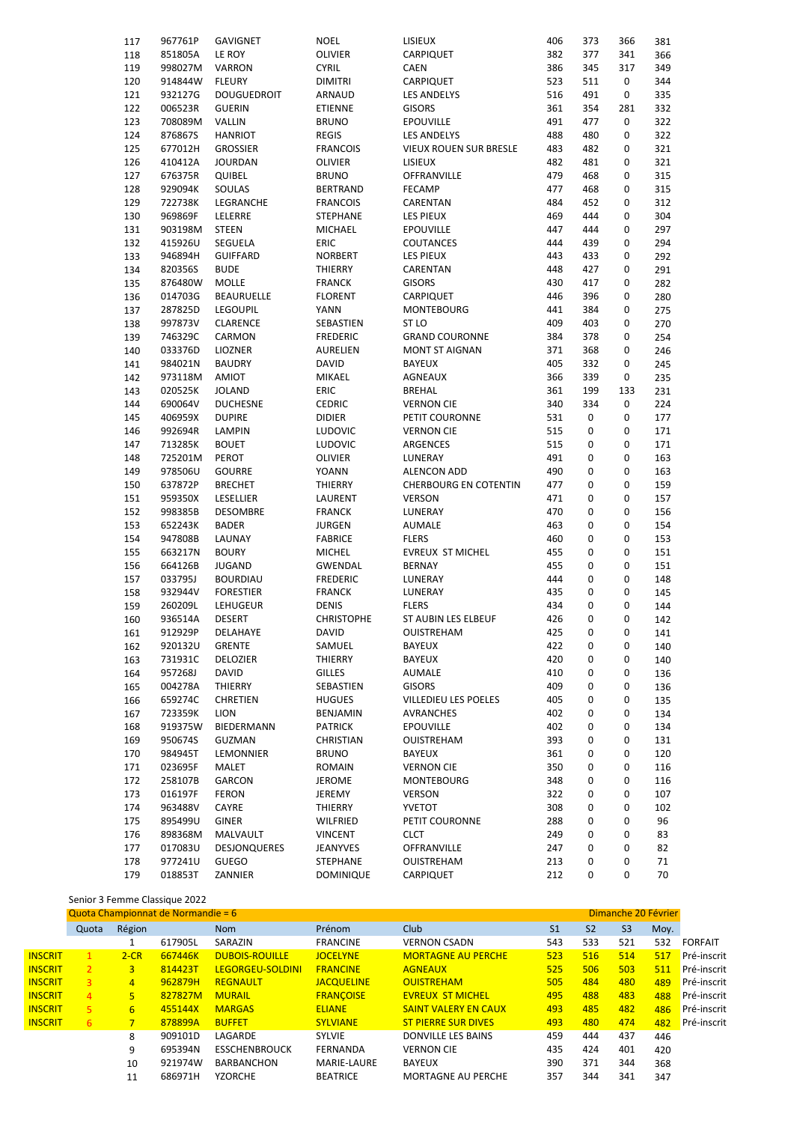| 117 | 967761P | <b>GAVIGNET</b>                  | <b>NOEL</b>       | LISIEUX                                    | 406        | 373 | 366       | 381 |
|-----|---------|----------------------------------|-------------------|--------------------------------------------|------------|-----|-----------|-----|
| 118 | 851805A | LE ROY                           | <b>OLIVIER</b>    | CARPIQUET                                  | 382        | 377 | 341       | 366 |
| 119 | 998027M | VARRON                           | <b>CYRIL</b>      | <b>CAEN</b>                                | 386        | 345 | 317       | 349 |
| 120 | 914844W | <b>FLEURY</b>                    | <b>DIMITRI</b>    | CARPIQUET                                  | 523        | 511 | 0         | 344 |
| 121 | 932127G | <b>DOUGUEDROIT</b>               | ARNAUD            | LES ANDELYS                                | 516        | 491 | 0         | 335 |
| 122 | 006523R | <b>GUERIN</b>                    | ETIENNE           | <b>GISORS</b>                              | 361        | 354 | 281       | 332 |
| 123 | 708089M | <b>VALLIN</b>                    | <b>BRUNO</b>      | <b>EPOUVILLE</b>                           | 491        | 477 | 0         | 322 |
| 124 | 876867S | <b>HANRIOT</b>                   | <b>REGIS</b>      | <b>LES ANDELYS</b>                         | 488        | 480 | 0         | 322 |
| 125 | 677012H | <b>GROSSIER</b>                  | <b>FRANCOIS</b>   | <b>VIEUX ROUEN SUR BRESLE</b>              | 483        | 482 | 0         | 321 |
| 126 | 410412A | <b>JOURDAN</b>                   | OLIVIER           | LISIEUX                                    | 482        | 481 | 0         | 321 |
| 127 | 676375R | QUIBEL                           | <b>BRUNO</b>      | OFFRANVILLE                                | 479        | 468 | 0         | 315 |
| 128 | 929094K | SOULAS                           | <b>BERTRAND</b>   | <b>FECAMP</b>                              | 477        | 468 | 0         | 315 |
| 129 | 722738K | LEGRANCHE                        | <b>FRANCOIS</b>   | CARENTAN                                   | 484        | 452 | 0         | 312 |
| 130 | 969869F | LELERRE                          | STEPHANE          | LES PIEUX                                  | 469        | 444 | 0         | 304 |
| 131 | 903198M | <b>STEEN</b>                     | <b>MICHAEL</b>    | <b>EPOUVILLE</b>                           | 447        | 444 | 0         | 297 |
|     |         |                                  | <b>ERIC</b>       |                                            | 444        | 439 | 0         | 294 |
| 132 | 415926U | SEGUELA                          |                   | COUTANCES                                  |            |     |           |     |
| 133 | 946894H | <b>GUIFFARD</b>                  | <b>NORBERT</b>    | <b>LES PIEUX</b>                           | 443        | 433 | 0         | 292 |
| 134 | 820356S | <b>BUDE</b>                      | THIERRY           | CARENTAN                                   | 448        | 427 | 0         | 291 |
| 135 | 876480W | <b>MOLLE</b>                     | <b>FRANCK</b>     | <b>GISORS</b>                              | 430        | 417 | 0         | 282 |
| 136 | 014703G | <b>BEAURUELLE</b>                | <b>FLORENT</b>    | CARPIQUET                                  | 446        | 396 | 0         | 280 |
| 137 | 287825D | LEGOUPIL                         | YANN              | <b>MONTEBOURG</b>                          | 441        | 384 | 0         | 275 |
| 138 | 997873V | CLARENCE                         | SEBASTIEN         | ST LO                                      | 409        | 403 | 0         | 270 |
| 139 | 746329C | CARMON                           | <b>FREDERIC</b>   | <b>GRAND COURONNE</b>                      | 384        | 378 | 0         | 254 |
| 140 | 033376D | <b>LIOZNER</b>                   | AURELIEN          | <b>MONT ST AIGNAN</b>                      | 371        | 368 | 0         | 246 |
| 141 | 984021N | <b>BAUDRY</b>                    | <b>DAVID</b>      | <b>BAYEUX</b>                              | 405        | 332 | 0         | 245 |
| 142 | 973118M | AMIOT                            | MIKAEL            | <b>AGNEAUX</b>                             | 366        | 339 | 0         | 235 |
| 143 | 020525K | <b>JOLAND</b>                    | ERIC              | <b>BREHAL</b>                              | 361        | 199 | 133       | 231 |
| 144 | 690064V | <b>DUCHESNE</b>                  | <b>CEDRIC</b>     | <b>VERNON CIE</b>                          | 340        | 334 | 0         | 224 |
| 145 | 406959X | <b>DUPIRE</b>                    | <b>DIDIER</b>     | PETIT COURONNE                             | 531        | 0   | 0         | 177 |
| 146 | 992694R | LAMPIN                           | <b>LUDOVIC</b>    | VERNON CIE                                 | 515        | 0   | 0         | 171 |
| 147 | 713285K | <b>BOUET</b>                     | <b>LUDOVIC</b>    | ARGENCES                                   | 515        | 0   | 0         | 171 |
| 148 | 725201M | PEROT                            | <b>OLIVIER</b>    | LUNERAY                                    | 491        | 0   | 0         | 163 |
| 149 | 978506U | <b>GOURRE</b>                    | YOANN             | <b>ALENCON ADD</b>                         | 490        | 0   | 0         | 163 |
| 150 | 637872P | <b>BRECHET</b>                   | THIERRY           | <b>CHERBOURG EN COTENTIN</b>               | 477        | 0   | 0         | 159 |
| 151 | 959350X | <b>LESELLIER</b>                 | LAURENT           | <b>VERSON</b>                              | 471        | 0   | 0         | 157 |
| 152 | 998385B | <b>DESOMBRE</b>                  | <b>FRANCK</b>     | LUNERAY                                    | 470        | 0   | 0         | 156 |
| 153 | 652243K | <b>BADER</b>                     | <b>JURGEN</b>     | AUMALE                                     | 463        | 0   | 0         | 154 |
| 154 | 947808B | LAUNAY                           | <b>FABRICE</b>    | <b>FLERS</b>                               | 460        | 0   | 0         | 153 |
| 155 | 663217N | <b>BOURY</b>                     | <b>MICHEL</b>     | EVREUX ST MICHEL                           | 455        | 0   | 0         | 151 |
| 156 | 664126B | JUGAND                           | <b>GWENDAL</b>    | <b>BERNAY</b>                              | 455        | 0   | 0         | 151 |
| 157 | 033795J | <b>BOURDIAU</b>                  | <b>FREDERIC</b>   | LUNERAY                                    | 444        | 0   | 0         | 148 |
| 158 | 932944V | <b>FORESTIER</b>                 |                   |                                            | 435        | 0   | 0         | 145 |
|     |         |                                  | <b>FRANCK</b>     | LUNERAY                                    |            | 0   |           |     |
| 159 | 260209L | LEHUGEUR                         | <b>DENIS</b>      | <b>FLERS</b><br><b>ST AUBIN LES ELBEUF</b> | 434        |     | 0         | 144 |
| 160 | 936514A | <b>DESERT</b><br><b>DELAHAYE</b> | <b>CHRISTOPHE</b> |                                            | 426<br>425 | 0   | 0         | 142 |
| 161 | 912929P |                                  | DAVID             | OUISTREHAM                                 |            | 0   | 0         | 141 |
| 162 | 920132U | <b>GRENTE</b>                    | SAMUEL            | <b>BAYEUX</b>                              | 422        | 0   | $\pmb{0}$ | 140 |
| 163 | 731931C | DELOZIER                         | THIERRY           | BAYEUX                                     | 420        | 0   | 0         | 140 |
| 164 | 957268J | DAVID                            | <b>GILLES</b>     | AUMALE                                     | 410        | 0   | 0         | 136 |
| 165 | 004278A | THIERRY                          | SEBASTIEN         | GISORS                                     | 409        | 0   | $\pmb{0}$ | 136 |
| 166 | 659274C | CHRETIEN                         | <b>HUGUES</b>     | VILLEDIEU LES POELES                       | 405        | 0   | 0         | 135 |
| 167 | 723359K | LION                             | BENJAMIN          | AVRANCHES                                  | 402        | 0   | 0         | 134 |
| 168 | 919375W | BIEDERMANN                       | <b>PATRICK</b>    | <b>EPOUVILLE</b>                           | 402        | 0   | 0         | 134 |
| 169 | 950674S | GUZMAN                           | CHRISTIAN         | OUISTREHAM                                 | 393        | 0   | 0         | 131 |
| 170 | 984945T | LEMONNIER                        | <b>BRUNO</b>      | BAYEUX                                     | 361        | 0   | 0         | 120 |
| 171 | 023695F | MALET                            | ROMAIN            | <b>VERNON CIE</b>                          | 350        | 0   | 0         | 116 |
| 172 | 258107B | GARCON                           | JEROME            | <b>MONTEBOURG</b>                          | 348        | 0   | 0         | 116 |
| 173 | 016197F | <b>FERON</b>                     | JEREMY            | VERSON                                     | 322        | 0   | 0         | 107 |
| 174 | 963488V | CAYRE                            | THIERRY           | <b>YVETOT</b>                              | 308        | 0   | 0         | 102 |
| 175 | 895499U | GINER                            | WILFRIED          | PETIT COURONNE                             | 288        | 0   | $\pmb{0}$ | 96  |
| 176 | 898368M | MALVAULT                         | VINCENT           | <b>CLCT</b>                                | 249        | 0   | 0         | 83  |
| 177 | 017083U | <b>DESJONQUERES</b>              | JEANYVES          | OFFRANVILLE                                | 247        | 0   | 0         | 82  |
| 178 | 977241U | GUEGO                            | STEPHANE          | OUISTREHAM                                 | 213        | 0   | $\pmb{0}$ | 71  |
| 179 | 018853T | ZANNIER                          | DOMINIQUE         | CARPIQUET                                  | 212        | 0   | 0         | 70  |
|     |         |                                  |                   |                                            |            |     |           |     |

### Senior 3 Femme Classique 2022

|                | Dimanche 20 Février<br>Quota Championnat de Normandie = 6 |                |         |                         |                   |                             |                |                |                |      |                |  |
|----------------|-----------------------------------------------------------|----------------|---------|-------------------------|-------------------|-----------------------------|----------------|----------------|----------------|------|----------------|--|
|                | Quota                                                     | Région         |         | <b>Nom</b>              | Prénom            | Club                        | S <sub>1</sub> | S <sub>2</sub> | S <sub>3</sub> | Moy. |                |  |
|                |                                                           |                | 617905L | SARAZIN                 | <b>FRANCINE</b>   | <b>VERNON CSADN</b>         | 543            | 533            | 521            | 532  | <b>FORFAIT</b> |  |
| <b>INSCRIT</b> | 1.                                                        | $2-CR$         | 667446K | <b>DUBOIS-ROUILLE</b>   | <b>JOCELYNE</b>   | <b>MORTAGNE AU PERCHE</b>   | 523            | 516            | 514            | 517  | Pré-inscrit    |  |
| <b>INSCRIT</b> | $\mathcal{L}$                                             | 3              | 814423T | <b>LEGORGEU-SOLDINI</b> | <b>FRANCINE</b>   | <b>AGNEAUX</b>              | 525            | 506            | 503            | 511  | Pré-inscrit    |  |
| <b>INSCRIT</b> | 3                                                         | $\overline{4}$ | 962879H | <b>REGNAULT</b>         | <b>JACQUELINE</b> | <b>OUISTREHAM</b>           | 505            | 484            | 480            | 489  | Pré-inscrit    |  |
| <b>INSCRIT</b> | $\overline{4}$                                            | 5              | 827827M | <b>MURAIL</b>           | <b>FRANCOISE</b>  | <b>EVREUX ST MICHEL</b>     | 495            | 488            | 483            | 488  | Pré-inscrit    |  |
| <b>INSCRIT</b> | 5.                                                        | 6              | 455144X | <b>MARGAS</b>           | <b>ELIANE</b>     | <b>SAINT VALERY EN CAUX</b> | 493            | 485            | 482            | 486  | Pré-inscrit    |  |
| <b>INSCRIT</b> | 6                                                         |                | 878899A | <b>BUFFET</b>           | <b>SYLVIANE</b>   | <b>ST PIERRE SUR DIVES</b>  | 493            | 480            | 474            | 482  | Pré-inscrit    |  |
|                |                                                           | 8              | 909101D | LAGARDE                 | <b>SYLVIE</b>     | <b>DONVILLE LES BAINS</b>   | 459            | 444            | 437            | 446  |                |  |
|                |                                                           | 9              | 695394N | <b>ESSCHENBROUCK</b>    | <b>FERNANDA</b>   | <b>VERNON CIE</b>           | 435            | 424            | 401            | 420  |                |  |
|                |                                                           | 10             | 921974W | <b>BARBANCHON</b>       | MARIE-LAURE       | <b>BAYEUX</b>               | 390            | 371            | 344            | 368  |                |  |
|                |                                                           | 11             | 686971H | <b>YZORCHE</b>          | <b>BEATRICE</b>   | <b>MORTAGNE AU PERCHE</b>   | 357            | 344            | 341            | 347  |                |  |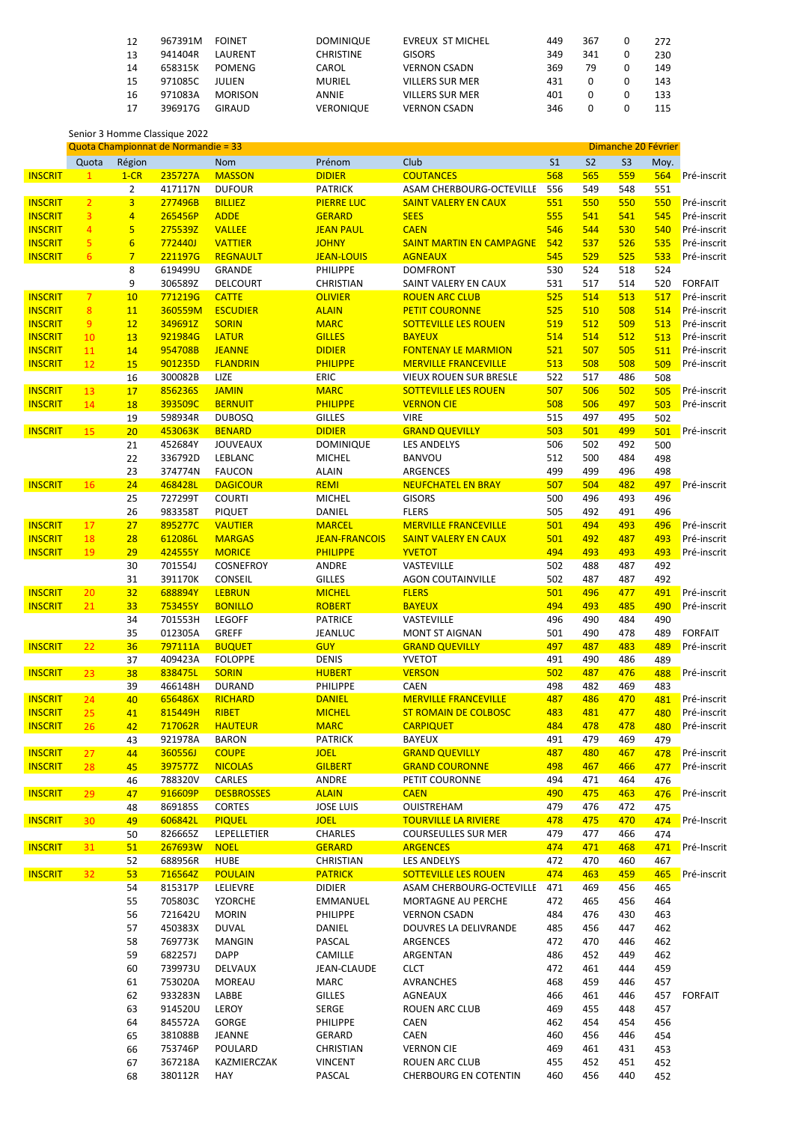| 12 | 967391M | <b>FOINET</b>  | <b>DOMINIQUE</b> | <b>EVREUX ST MICHEL</b> | 449 | 367 | 272 |
|----|---------|----------------|------------------|-------------------------|-----|-----|-----|
| 13 | 941404R | LAURENT        | <b>CHRISTINE</b> | <b>GISORS</b>           | 349 | 341 | 230 |
| 14 | 658315K | <b>POMENG</b>  | CAROL            | <b>VERNON CSADN</b>     | 369 | 79  | 149 |
| 15 | 971085C | JULIEN         | <b>MURIEL</b>    | <b>VILLERS SUR MER</b>  | 431 |     | 143 |
| 16 | 971083A | <b>MORISON</b> | ANNIE            | <b>VILLERS SUR MER</b>  | 401 |     | 133 |
| 17 | 396917G | GIRAUD         | <b>VERONIQUE</b> | <b>VERNON CSADN</b>     | 346 |     | 115 |

Senior 3 Homme Classique 2022

| Quota Championnat de Normandie = 33 |                 |                 |                |                                 |                      |                                 | Dimanche 20 Février |           |                |      |                |
|-------------------------------------|-----------------|-----------------|----------------|---------------------------------|----------------------|---------------------------------|---------------------|-----------|----------------|------|----------------|
|                                     | Quota           | Région          |                | <b>Nom</b>                      | Prénom               | Club                            | S <sub>1</sub>      | <b>S2</b> | S <sub>3</sub> | Moy. |                |
| <b>INSCRIT</b>                      | 1               | $1-CR$          | 235727A        | <b>MASSON</b>                   | <b>DIDIER</b>        | <b>COUTANCES</b>                | 568                 | 565       | 559            | 564  | Pré-inscrit    |
|                                     |                 | $\overline{2}$  | 417117N        | <b>DUFOUR</b>                   | <b>PATRICK</b>       | ASAM CHERBOURG-OCTEVILLE        | 556                 | 549       | 548            | 551  |                |
| <b>INSCRIT</b>                      | $\overline{2}$  | $\overline{3}$  | 277496B        | <b>BILLIEZ</b>                  | <b>PIERRE LUC</b>    | <b>SAINT VALERY EN CAUX</b>     | 551                 | 550       | 550            | 550  | Pré-inscrit    |
| <b>INSCRIT</b>                      | 3               | $\overline{4}$  | 265456P        | <b>ADDE</b>                     | <b>GERARD</b>        | <b>SEES</b>                     | 555                 | 541       | 541            | 545  | Pré-inscrit    |
| <b>INSCRIT</b>                      | $\overline{4}$  | 5               | 275539Z        | <b>VALLEE</b>                   | <b>JEAN PAUL</b>     | <b>CAEN</b>                     | 546                 | 544       | 530            | 540  | Pré-inscrit    |
| <b>INSCRIT</b>                      | 5               | $6\overline{6}$ | <b>772440J</b> | <b>VATTIER</b>                  | <b>JOHNY</b>         | <b>SAINT MARTIN EN CAMPAGNE</b> | 542                 | 537       | 526            | 535  | Pré-inscrit    |
| <b>INSCRIT</b>                      | 6               | $\overline{7}$  | 221197G        | <b>REGNAULT</b>                 | <b>JEAN-LOUIS</b>    | <b>AGNEAUX</b>                  | 545                 | 529       | 525            | 533  | Pré-inscrit    |
|                                     |                 | 8               | 619499U        | <b>GRANDE</b>                   | PHILIPPE             | <b>DOMFRONT</b>                 | 530                 | 524       | 518            | 524  |                |
|                                     |                 | 9               | 306589Z        | <b>DELCOURT</b>                 | <b>CHRISTIAN</b>     | SAINT VALERY EN CAUX            | 531                 | 517       | 514            | 520  | <b>FORFAIT</b> |
|                                     | $\overline{7}$  |                 | 771219G        |                                 |                      | <b>ROUEN ARC CLUB</b>           | 525                 | 514       | 513            |      |                |
| <b>INSCRIT</b>                      |                 | 10              |                | <b>CATTE</b><br><b>ESCUDIER</b> | <b>OLIVIER</b>       |                                 | 525                 | 510       | 508            | 517  | Pré-inscrit    |
| <b>INSCRIT</b>                      | 8               | 11              | 360559M        |                                 | <b>ALAIN</b>         | <b>PETIT COURONNE</b>           |                     |           |                | 514  | Pré-inscrit    |
| <b>INSCRIT</b>                      | 9               | 12              | 349691Z        | <b>SORIN</b>                    | <b>MARC</b>          | <b>SOTTEVILLE LES ROUEN</b>     | 519                 | 512       | 509            | 513  | Pré-inscrit    |
| <b>INSCRIT</b>                      | 10              | 13              | 921984G        | <b>LATUR</b>                    | <b>GILLES</b>        | <b>BAYEUX</b>                   | 514                 | 514       | 512            | 513  | Pré-inscrit    |
| <b>INSCRIT</b>                      | 11              | 14              | 954708B        | <b>JEANNE</b>                   | <b>DIDIER</b>        | <b>FONTENAY LE MARMION</b>      | 521                 | 507       | 505            | 511  | Pré-inscrit    |
| <b>INSCRIT</b>                      | 12              | 15              | 901235D        | <b>FLANDRIN</b>                 | <b>PHILIPPE</b>      | <b>MERVILLE FRANCEVILLE</b>     | 513                 | 508       | 508            | 509  | Pré-inscrit    |
|                                     |                 | 16              | 300082B        | LIZE                            | <b>ERIC</b>          | VIEUX ROUEN SUR BRESLE          | 522                 | 517       | 486            | 508  |                |
| <b>INSCRIT</b>                      | 13              | 17              | 856236S        | <b>JAMIN</b>                    | <b>MARC</b>          | <b>SOTTEVILLE LES ROUEN</b>     | 507                 | 506       | 502            | 505  | Pré-inscrit    |
| <b>INSCRIT</b>                      | 14              | 18              | 393509C        | <b>BERNUIT</b>                  | <b>PHILIPPE</b>      | <b>VERNON CIE</b>               | 508                 | 506       | 497            | 503  | Pré-inscrit    |
|                                     |                 | 19              | 598934R        | <b>DUBOSQ</b>                   | <b>GILLES</b>        | <b>VIRE</b>                     | 515                 | 497       | 495            | 502  |                |
| <b>INSCRIT</b>                      | 15              | 20              | 453063K        | <b>BENARD</b>                   | <b>DIDIER</b>        | <b>GRAND QUEVILLY</b>           | 503                 | 501       | 499            | 501  | Pré-inscrit    |
|                                     |                 | 21              | 452684Y        | <b>JOUVEAUX</b>                 | <b>DOMINIQUE</b>     | <b>LES ANDELYS</b>              | 506                 | 502       | 492            | 500  |                |
|                                     |                 | 22              | 336792D        | LEBLANC                         | <b>MICHEL</b>        | <b>BANVOU</b>                   | 512                 | 500       | 484            | 498  |                |
|                                     |                 | 23              | 374774N        | <b>FAUCON</b>                   | <b>ALAIN</b>         | <b>ARGENCES</b>                 | 499                 | 499       | 496            | 498  |                |
| <b>INSCRIT</b>                      | 16              | 24              | 468428L        | <b>DAGICOUR</b>                 | <b>REMI</b>          | <b>NEUFCHATEL EN BRAY</b>       | 507                 | 504       | 482            | 497  | Pré-inscrit    |
|                                     |                 | 25              | 727299T        | <b>COURTI</b>                   | <b>MICHEL</b>        | <b>GISORS</b>                   | 500                 | 496       | 493            | 496  |                |
|                                     |                 | 26              | 983358T        | <b>PIQUET</b>                   | DANIEL               | <b>FLERS</b>                    | 505                 | 492       | 491            | 496  |                |
| <b>INSCRIT</b>                      | 17              | 27              | 895277C        | <b>VAUTIER</b>                  | <b>MARCEL</b>        | <b>MERVILLE FRANCEVILLE</b>     | 501                 | 494       | 493            | 496  | Pré-inscrit    |
| <b>INSCRIT</b>                      | 18              | 28              | 612086L        | <b>MARGAS</b>                   | <b>JEAN-FRANCOIS</b> | <b>SAINT VALERY EN CAUX</b>     | 501                 | 492       | 487            | 493  | Pré-inscrit    |
| <b>INSCRIT</b>                      | 19              | 29              | 424555Y        | <b>MORICE</b>                   | <b>PHILIPPE</b>      | <b>YVETOT</b>                   | 494                 | 493       | 493            | 493  | Pré-inscrit    |
|                                     |                 | 30              | 701554J        | COSNEFROY                       | <b>ANDRE</b>         | VASTEVILLE                      | 502                 | 488       | 487            | 492  |                |
|                                     |                 | 31              | 391170K        | CONSEIL                         | <b>GILLES</b>        | <b>AGON COUTAINVILLE</b>        | 502                 | 487       | 487            | 492  |                |
| <b>INSCRIT</b>                      | 20              | 32              | 688894Y        | <b>LEBRUN</b>                   | <b>MICHEL</b>        | <b>FLERS</b>                    | 501                 | 496       | 477            | 491  | Pré-inscrit    |
| <b>INSCRIT</b>                      | 21              | 33              | 753455Y        | <b>BONILLO</b>                  | <b>ROBERT</b>        | <b>BAYEUX</b>                   | 494                 | 493       | 485            | 490  | Pré-inscrit    |
|                                     |                 | 34              | 701553H        | <b>LEGOFF</b>                   | <b>PATRICE</b>       | VASTEVILLE                      | 496                 | 490       | 484            | 490  |                |
|                                     |                 | 35              | 012305A        | <b>GREFF</b>                    | <b>JEANLUC</b>       | <b>MONT ST AIGNAN</b>           | 501                 | 490       | 478            | 489  | <b>FORFAIT</b> |
| <b>INSCRIT</b>                      | 22              | 36              | 797111A        | <b>BUQUET</b>                   | <b>GUY</b>           | <b>GRAND QUEVILLY</b>           | 497                 | 487       | 483            | 489  | Pré-inscrit    |
|                                     |                 | 37              | 409423A        | <b>FOLOPPE</b>                  | <b>DENIS</b>         | YVETOT                          | 491                 | 490       | 486            | 489  |                |
| <b>INSCRIT</b>                      | 23              | 38              | 838475L        | <b>SORIN</b>                    | <b>HUBERT</b>        | <b>VERSON</b>                   | 502                 | 487       | 476            | 488  | Pré-inscrit    |
|                                     |                 | 39              | 466148H        | <b>DURAND</b>                   | PHILIPPE             | <b>CAEN</b>                     | 498                 | 482       | 469            | 483  |                |
|                                     |                 |                 |                | <b>RICHARD</b>                  |                      | <b>MERVILLE FRANCEVILLE</b>     |                     | 486       | 470            |      | Pré-inscrit    |
| <b>INSCRIT</b>                      | 24              | 40              | 656486X        |                                 | <b>DANIEL</b>        |                                 | 487                 |           |                | 481  |                |
| <b>INSCRIT</b>                      | 25              | 41              | 815449H        | <b>RIBET</b>                    | <b>MICHEL</b>        | <b>ST ROMAIN DE COLBOSC</b>     | 483                 | 481       | 477            | 480  | Pré-inscrit    |
| <b>INSCRIT</b>                      | 26              | 42              | 717062R        | <b>HAUTEUR</b>                  | <b>MARC</b>          | <b>CARPIQUET</b>                | 484                 | 478       | 478            | 480  | Pré-inscrit    |
|                                     |                 | 43              | 921978A        | <b>BARON</b>                    | <b>PATRICK</b>       | BAYEUX                          | 491                 | 479       | 469            | 479  |                |
| <b>INSCRIT</b>                      | 27              | 44              | 360556J        | <b>COUPE</b>                    | <b>JOEL</b>          | <b>GRAND QUEVILLY</b>           | 487                 | 480       | 467            | 478  | Pré-inscrit    |
| <b>INSCRIT</b>                      | 28              | 45              | 397577Z        | <b>NICOLAS</b>                  | <b>GILBERT</b>       | <b>GRAND COURONNE</b>           | 498                 | 467       | 466            | 477  | Pré-inscrit    |
|                                     |                 | 46              | 788320V        | CARLES                          | ANDRE                | PETIT COURONNE                  | 494                 | 471       | 464            | 476  |                |
| <b>INSCRIT</b>                      | 29              | 47              | 916609P        | <b>DESBROSSES</b>               | <b>ALAIN</b>         | <b>CAEN</b>                     | 490                 | 475       | 463            | 476  | Pré-inscrit    |
|                                     |                 | 48              | 869185S        | <b>CORTES</b>                   | <b>JOSE LUIS</b>     | OUISTREHAM                      | 479                 | 476       | 472            | 475  |                |
| <b>INSCRIT</b>                      | 30 <sub>2</sub> | 49              | 606842L        | <b>PIQUEL</b>                   | <b>JOEL</b>          | <b>TOURVILLE LA RIVIERE</b>     | 478                 | 475       | 470            | 474  | Pré-Inscrit    |
|                                     |                 | 50              | 826665Z        | LEPELLETIER                     | CHARLES              | <b>COURSEULLES SUR MER</b>      | 479                 | 477       | 466            | 474  |                |
| <b>INSCRIT</b>                      | 31              | 51              | 267693W        | <b>NOEL</b>                     | <b>GERARD</b>        | <b>ARGENCES</b>                 | 474                 | 471       | 468            | 471  | Pré-Inscrit    |
|                                     |                 | 52              | 688956R        | <b>HUBE</b>                     | CHRISTIAN            | LES ANDELYS                     | 472                 | 470       | 460            | 467  |                |
| <b>INSCRIT</b>                      | 32              | 53              | 716564Z        | <b>POULAIN</b>                  | <b>PATRICK</b>       | <b>SOTTEVILLE LES ROUEN</b>     | 474                 | 463       | 459            | 465  | Pré-inscrit    |
|                                     |                 | 54              | 815317P        | LELIEVRE                        | <b>DIDIER</b>        | ASAM CHERBOURG-OCTEVILLE        | 471                 | 469       | 456            | 465  |                |
|                                     |                 | 55              | 705803C        | YZORCHE                         | EMMANUEL             | MORTAGNE AU PERCHE              | 472                 | 465       | 456            | 464  |                |
|                                     |                 | 56              | 721642U        | <b>MORIN</b>                    | PHILIPPE             | <b>VERNON CSADN</b>             | 484                 | 476       | 430            | 463  |                |
|                                     |                 | 57              | 450383X        | <b>DUVAL</b>                    | DANIEL               | DOUVRES LA DELIVRANDE           | 485                 | 456       | 447            | 462  |                |
|                                     |                 | 58              | 769773K        | MANGIN                          | PASCAL               | ARGENCES                        | 472                 | 470       | 446            | 462  |                |
|                                     |                 | 59              | 682257J        | <b>DAPP</b>                     | CAMILLE              | ARGENTAN                        | 486                 | 452       | 449            | 462  |                |
|                                     |                 | 60              | 739973U        | DELVAUX                         | JEAN-CLAUDE          | <b>CLCT</b>                     | 472                 | 461       | 444            | 459  |                |
|                                     |                 | 61              | 753020A        | MOREAU                          | MARC                 | AVRANCHES                       | 468                 | 459       | 446            | 457  |                |
|                                     |                 | 62              | 933283N        | LABBE                           | <b>GILLES</b>        | AGNEAUX                         | 466                 | 461       | 446            | 457  | <b>FORFAIT</b> |
|                                     |                 | 63              | 914520U        | LEROY                           | SERGE                | ROUEN ARC CLUB                  | 469                 | 455       | 448            | 457  |                |
|                                     |                 |                 |                |                                 | PHILIPPE             | CAEN                            | 462                 | 454       | 454            |      |                |
|                                     |                 | 64              | 845572A        | GORGE                           |                      |                                 |                     | 456       | 446            | 456  |                |
|                                     |                 | 65              | 381088B        | JEANNE                          | GERARD               | CAEN                            | 460                 |           |                | 454  |                |
|                                     |                 | 66              | 753746P        | POULARD                         | CHRISTIAN            | <b>VERNON CIE</b>               | 469                 | 461       | 431            | 453  |                |
|                                     |                 | 67              | 367218A        | KAZMIERCZAK                     | VINCENT              | ROUEN ARC CLUB                  | 455                 | 452       | 451            | 452  |                |
|                                     |                 | 68              | 380112R        | HAY                             | PASCAL               | <b>CHERBOURG EN COTENTIN</b>    | 460                 | 456       | 440            | 452  |                |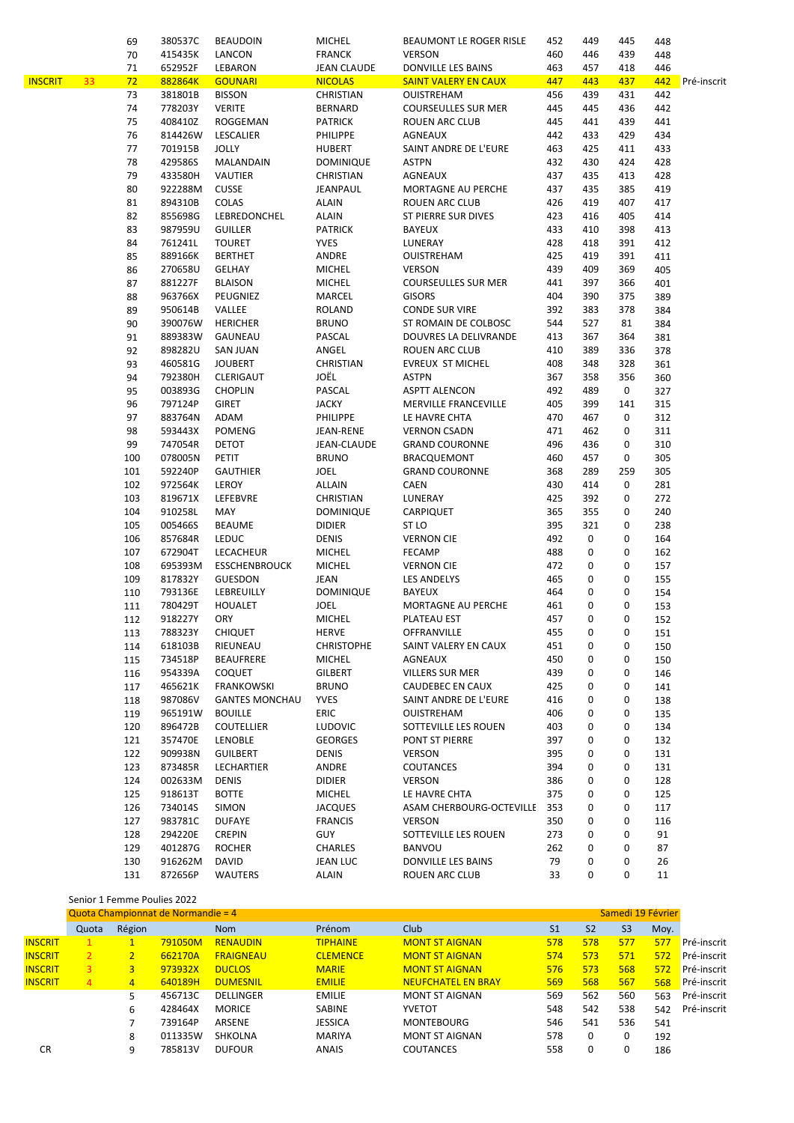|                |    | 69           | 380537C                            | <b>BEAUDOIN</b>       | <b>MICHEL</b>     | BEAUMONT LE ROGER RISLE     | 452            | 449            | 445               | 448  |
|----------------|----|--------------|------------------------------------|-----------------------|-------------------|-----------------------------|----------------|----------------|-------------------|------|
|                |    | 70           | 415435K                            | LANCON                | <b>FRANCK</b>     | <b>VERSON</b>               | 460            | 446            | 439               | 448  |
|                |    | 71           | 652952F                            | LEBARON               | JEAN CLAUDE       | DONVILLE LES BAINS          | 463            | 457            | 418               | 446  |
| <b>INSCRIT</b> | 33 | 72           | 882864K                            | <b>GOUNARI</b>        | <b>NICOLAS</b>    | <b>SAINT VALERY EN CAUX</b> | 447            | 443            | 437               | 442  |
|                |    | 73           | 381801B                            | <b>BISSON</b>         | CHRISTIAN         | OUISTREHAM                  | 456            | 439            | 431               | 442  |
|                |    | 74           | 778203Y                            | <b>VERITE</b>         | BERNARD           | <b>COURSEULLES SUR MER</b>  | 445            | 445            | 436               | 442  |
|                |    | 75           | 408410Z                            | <b>ROGGEMAN</b>       | <b>PATRICK</b>    | ROUEN ARC CLUB              | 445            | 441            | 439               | 441  |
|                |    | 76           | 814426W                            | LESCALIER             | <b>PHILIPPE</b>   | <b>AGNEAUX</b>              | 442            | 433            | 429               | 434  |
|                |    | 77           | 701915B                            | <b>JOLLY</b>          | <b>HUBERT</b>     | SAINT ANDRE DE L'EURE       | 463            | 425            | 411               | 433  |
|                |    | 78           | 429586S                            | MALANDAIN             | <b>DOMINIQUE</b>  | ASTPN                       | 432            | 430            | 424               | 428  |
|                |    | 79           | 433580H                            | VAUTIER               | CHRISTIAN         | AGNEAUX                     | 437            | 435            | 413               | 428  |
|                |    | 80           | 922288M                            | <b>CUSSE</b>          | JEANPAUL          | MORTAGNE AU PERCHE          | 437            | 435            | 385               | 419  |
|                |    | 81           | 894310B                            | COLAS                 | <b>ALAIN</b>      | <b>ROUEN ARC CLUB</b>       | 426            | 419            | 407               | 417  |
|                |    | 82           | 855698G                            | LEBREDONCHEL          | <b>ALAIN</b>      | ST PIERRE SUR DIVES         | 423            | 416            | 405               | 414  |
|                |    | 83           | 987959U                            | <b>GUILLER</b>        | <b>PATRICK</b>    | BAYEUX                      | 433            | 410            | 398               | 413  |
|                |    | 84           | 761241L                            | <b>TOURET</b>         | <b>YVES</b>       | LUNERAY                     | 428            | 418            | 391               | 412  |
|                |    | 85           | 889166K                            | <b>BERTHET</b>        | ANDRE             | <b>OUISTREHAM</b>           | 425            | 419            | 391               | 411  |
|                |    | 86           | 270658U                            | GELHAY                | <b>MICHEL</b>     | <b>VERSON</b>               | 439            | 409            | 369               | 405  |
|                |    | 87           | 881227F                            | <b>BLAISON</b>        | <b>MICHEL</b>     | <b>COURSEULLES SUR MER</b>  | 441            | 397            | 366               | 401  |
|                |    | 88           | 963766X                            | PEUGNIEZ              | MARCEL            | <b>GISORS</b>               | 404            | 390            | 375               | 389  |
|                |    | 89           | 950614B                            | VALLEE                | <b>ROLAND</b>     | <b>CONDE SUR VIRE</b>       | 392            | 383            | 378               | 384  |
|                |    | 90           | 390076W                            | <b>HERICHER</b>       | <b>BRUNO</b>      | ST ROMAIN DE COLBOSC        | 544            | 527            | 81                | 384  |
|                |    | 91           | 889383W                            | GAUNEAU               | PASCAL            | DOUVRES LA DELIVRANDE       | 413            | 367            | 364               | 381  |
|                |    | 92           | 898282U                            | <b>SAN JUAN</b>       | ANGEL             | ROUEN ARC CLUB              | 410            | 389            | 336               | 378  |
|                |    | 93           | 460581G                            | <b>JOUBERT</b>        | CHRISTIAN         | <b>EVREUX ST MICHEL</b>     | 408            | 348            | 328               | 361  |
|                |    | 94           | 792380H                            | CLERIGAUT             | JOËL              | <b>ASTPN</b>                | 367            | 358            | 356               | 360  |
|                |    | 95           | 003893G                            | <b>CHOPLIN</b>        | PASCAL            | <b>ASPTT ALENCON</b>        | 492            | 489            | 0                 | 327  |
|                |    | 96           | 797124P                            | <b>GIRET</b>          | <b>JACKY</b>      | MERVILLE FRANCEVILLE        | 405            | 399            | 141               | 315  |
|                |    | 97           | 883764N                            | ADAM                  | <b>PHILIPPE</b>   | LE HAVRE CHTA               | 470            | 467            | 0                 | 312  |
|                |    | 98           | 593443X                            | <b>POMENG</b>         | JEAN-RENE         | <b>VERNON CSADN</b>         | 471            | 462            | 0                 | 311  |
|                |    | 99           | 747054R                            | DETOT                 | JEAN-CLAUDE       | <b>GRAND COURONNE</b>       | 496            | 436            | 0                 | 310  |
|                |    | 100          | 078005N                            | PETIT                 | <b>BRUNO</b>      | <b>BRACQUEMONT</b>          | 460            | 457            | 0                 | 305  |
|                |    | 101          | 592240P                            | <b>GAUTHIER</b>       | JOEL              | <b>GRAND COURONNE</b>       | 368            | 289            | 259               | 305  |
|                |    | 102          | 972564K                            | LEROY                 | ALLAIN            | CAEN                        | 430            | 414            | 0                 | 281  |
|                |    | 103          | 819671X                            | LEFEBVRE              | CHRISTIAN         | LUNERAY                     | 425            | 392            | 0                 | 272  |
|                |    | 104          | 910258L                            | MAY                   | <b>DOMINIQUE</b>  | CARPIQUET                   | 365            | 355            | 0                 | 240  |
|                |    | 105          | 005466S                            | <b>BEAUME</b>         | <b>DIDIER</b>     | ST LO                       | 395            | 321            | 0                 | 238  |
|                |    | 106          | 857684R                            | <b>LEDUC</b>          | <b>DENIS</b>      | <b>VERNON CIE</b>           | 492            | 0              | 0                 | 164  |
|                |    | 107          | 672904T                            | LECACHEUR             | <b>MICHEL</b>     | <b>FECAMP</b>               | 488            | 0              | 0                 | 162  |
|                |    | 108          | 695393M                            | <b>ESSCHENBROUCK</b>  | <b>MICHEL</b>     | <b>VERNON CIE</b>           | 472            | 0              | 0                 | 157  |
|                |    | 109          | 817832Y                            | <b>GUESDON</b>        | JEAN              | <b>LES ANDELYS</b>          | 465            | 0              | 0                 | 155  |
|                |    | 110          | 793136E                            | LEBREUILLY            | <b>DOMINIQUE</b>  | <b>BAYEUX</b>               | 464            | 0              | 0                 | 154  |
|                |    | 111          | 780429T                            | <b>HOUALET</b>        | <b>JOEL</b>       | MORTAGNE AU PERCHE          | 461            | 0              | 0                 | 153  |
|                |    | 112          | 918227Y                            | <b>ORY</b>            | <b>MICHEL</b>     | PLATEAU EST                 | 457            | 0              | 0                 | 152  |
|                |    | 113          | 788323Y                            | <b>CHIQUET</b>        | HERVE             | OFFRANVILLE                 | 455            | $\Omega$       | 0                 | 151  |
|                |    | 114          | 618103B                            | RIEUNEAU              | <b>CHRISTOPHE</b> | SAINT VALERY EN CAUX        | 451            | 0              | 0                 | 150  |
|                |    | 115          | 734518P                            | <b>BEAUFRERE</b>      | <b>MICHEL</b>     | AGNEAUX                     | 450            | 0              | 0                 | 150  |
|                |    |              | 954339A                            |                       | <b>GILBERT</b>    |                             | 439            | 0              | 0                 |      |
|                |    | 116          |                                    | COQUET                |                   | VILLERS SUR MER             |                | 0              | 0                 | 146  |
|                |    | 117          | 465621K                            | FRANKOWSKI            | <b>BRUNO</b>      | CAUDEBEC EN CAUX            | 425            |                |                   | 141  |
|                |    | 118          | 987086V                            | <b>GANTES MONCHAU</b> | <b>YVES</b>       | SAINT ANDRE DE L'EURE       | 416            | 0              | 0                 | 138  |
|                |    | 119          | 965191W                            | <b>BOUILLE</b>        | ERIC              | OUISTREHAM                  | 406            | 0              | 0                 | 135  |
|                |    | 120          | 896472B                            | <b>COUTELLIER</b>     | <b>LUDOVIC</b>    | SOTTEVILLE LES ROUEN        | 403            | 0              | 0                 | 134  |
|                |    | 121          | 357470E                            | LENOBLE               | <b>GEORGES</b>    | PONT ST PIERRE              | 397            | 0              | 0                 | 132  |
|                |    | 122          | 909938N                            | <b>GUILBERT</b>       | <b>DENIS</b>      | <b>VERSON</b>               | 395            | 0              | 0                 | 131  |
|                |    | 123          | 873485R                            | LECHARTIER            | ANDRE             | COUTANCES                   | 394            | 0              | 0                 | 131  |
|                |    | 124          | 002633M                            | <b>DENIS</b>          | <b>DIDIER</b>     | VERSON                      | 386            | 0              | 0                 | 128  |
|                |    | 125          | 918613T                            | <b>BOTTE</b>          | <b>MICHEL</b>     | LE HAVRE CHTA               | 375            | 0              | 0                 | 125  |
|                |    | 126          | 734014S                            | <b>SIMON</b>          | <b>JACQUES</b>    | ASAM CHERBOURG-OCTEVILLE    | 353            | 0              | 0                 | 117  |
|                |    | 127          | 983781C                            | DUFAYE                | <b>FRANCIS</b>    | <b>VERSON</b>               | 350            | 0              | 0                 | 116  |
|                |    | 128          | 294220E                            | <b>CREPIN</b>         | <b>GUY</b>        | SOTTEVILLE LES ROUEN        | 273            | 0              | 0                 | 91   |
|                |    | 129          | 401287G                            | <b>ROCHER</b>         | <b>CHARLES</b>    | BANVOU                      | 262            | 0              | 0                 | 87   |
|                |    | 130          | 916262M                            | DAVID                 | JEAN LUC          | DONVILLE LES BAINS          | 79             | 0              | 0                 | 26   |
|                |    | 131          | 872656P                            | WAUTERS               | <b>ALAIN</b>      | ROUEN ARC CLUB              | 33             | 0              | 0                 | 11   |
|                |    |              |                                    |                       |                   |                             |                |                |                   |      |
|                |    |              | Senior 1 Femme Poulies 2022        |                       |                   |                             |                |                |                   |      |
|                |    |              | Quota Championnat de Normandie = 4 |                       |                   |                             |                |                | Samedi 19 Février |      |
|                |    | Quota Région |                                    | <b>Nom</b>            | Prénom            | Club                        | S <sub>1</sub> | S <sub>2</sub> | S3                | Moy. |

|                | Quota         | Région |         | <b>Nom</b>       | Prénom          | Club                      | S <sub>1</sub> | S <sub>2</sub> | S <sub>3</sub> | Moy. |             |
|----------------|---------------|--------|---------|------------------|-----------------|---------------------------|----------------|----------------|----------------|------|-------------|
| <b>INSCRIT</b> |               |        | 791050M | <b>RENAUDIN</b>  | <b>TIPHAINE</b> | <b>MONT ST AIGNAN</b>     | 578            | 578            | 577            | 577  | Pré-inscrit |
| <b>INSCRIT</b> | $\mathcal{P}$ |        | 662170A | <b>FRAIGNEAU</b> | <b>CLEMENCE</b> | <b>MONT ST AIGNAN</b>     | 574            | 573            | 571            | 572  | Pré-inscrit |
| <b>INSCRIT</b> | 3             | 3      | 973932X | <b>DUCLOS</b>    | <b>MARIE</b>    | <b>MONT ST AIGNAN</b>     | 576            | 573            | 568            | 572  | Pré-inscrit |
| <b>INSCRIT</b> | 4             | 4      | 640189H | <b>DUMESNIL</b>  | <b>EMILIE</b>   | <b>NEUFCHATEL EN BRAY</b> | 569            | 568            | 567            | 568  | Pré-inscrit |
|                |               |        | 456713C | DELLINGER        | <b>EMILIE</b>   | <b>MONT ST AIGNAN</b>     | 569            | 562            | 560            | 563  | Pré-inscrit |
|                |               | 6      | 428464X | <b>MORICE</b>    | <b>SABINE</b>   | <b>YVETOT</b>             | 548            | 542            | 538            | 542  | Pré-inscrit |
|                |               |        | 739164P | ARSENE           | <b>JESSICA</b>  | <b>MONTEBOURG</b>         | 546            | 541            | 536            | 541  |             |
|                |               | 8      | 011335W | <b>SHKOLNA</b>   | <b>MARIYA</b>   | <b>MONT ST AIGNAN</b>     | 578            | 0              | 0              | 192  |             |
| CR             |               | q      | 785813V | <b>DUFOUR</b>    | <b>ANAIS</b>    | COUTANCES                 | 558            | 0              | 0              | 186  |             |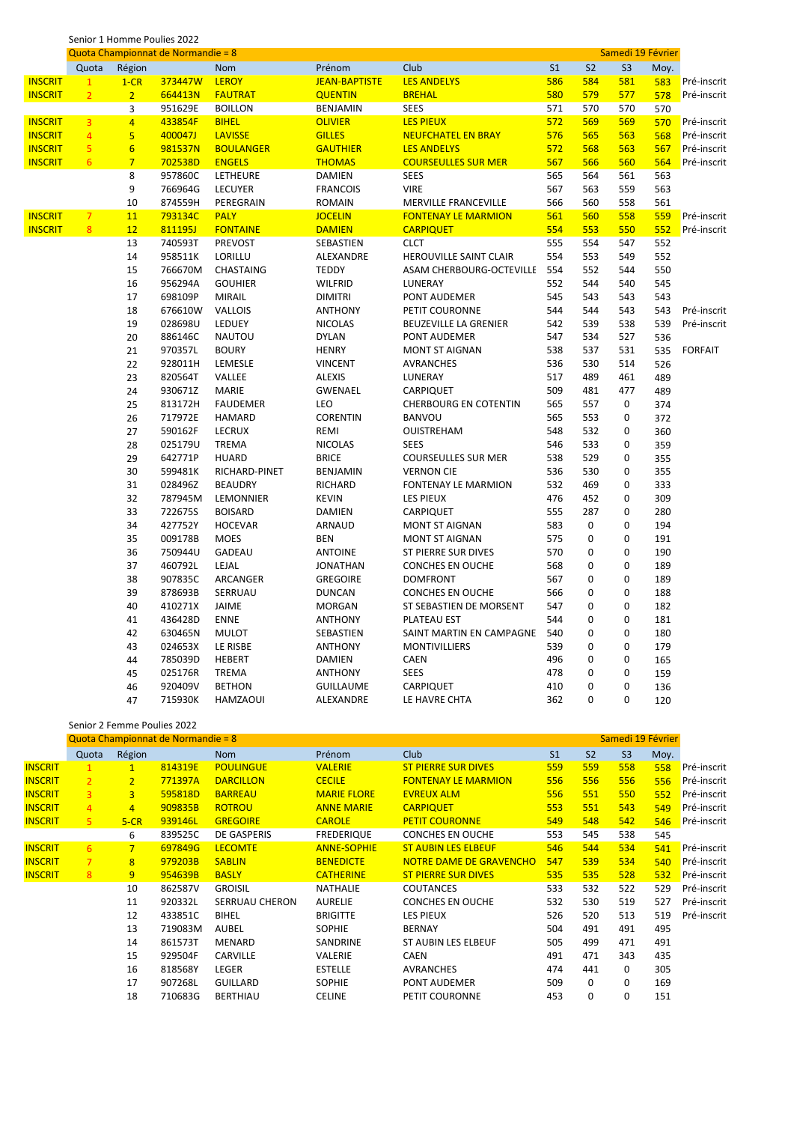|                | Senior 1 Homme Poulies 2022 |                 |                                    |                  |                      |                               |                   |                |                |      |                |
|----------------|-----------------------------|-----------------|------------------------------------|------------------|----------------------|-------------------------------|-------------------|----------------|----------------|------|----------------|
|                |                             |                 | Quota Championnat de Normandie = 8 |                  |                      |                               | Samedi 19 Février |                |                |      |                |
|                | Quota                       | Région          |                                    | <b>Nom</b>       | Prénom               | Club                          | S <sub>1</sub>    | S <sub>2</sub> | S <sub>3</sub> | Moy. |                |
| <b>INSCRIT</b> | $\mathbf{1}$                | $1-CR$          | 373447W                            | <b>LEROY</b>     | <b>JEAN-BAPTISTE</b> | <b>LES ANDELYS</b>            | 586               | 584            | 581            | 583  | Pré-inscrit    |
| <b>INSCRIT</b> | $\overline{2}$              | $\overline{2}$  | 664413N                            | <b>FAUTRAT</b>   | <b>QUENTIN</b>       | <b>BREHAL</b>                 | 580               | 579            | 577            | 578  | Pré-inscrit    |
|                |                             | 3               | 951629E                            | <b>BOILLON</b>   | <b>BENJAMIN</b>      | <b>SEES</b>                   | 571               | 570            | 570            | 570  |                |
| <b>INSCRIT</b> | 3                           | $\overline{4}$  | 433854F                            | <b>BIHEL</b>     | <b>OLIVIER</b>       | <b>LES PIEUX</b>              | 572               | 569            | 569            | 570  | Pré-inscrit    |
| <b>INSCRIT</b> | $\overline{4}$              | 5               | 400047J                            | <b>LAVISSE</b>   | <b>GILLES</b>        | <b>NEUFCHATEL EN BRAY</b>     | 576               | 565            | 563            | 568  | Pré-inscrit    |
| <b>INSCRIT</b> | $\overline{\mathbf{5}}$     | $6\overline{6}$ | 981537N                            | <b>BOULANGER</b> | <b>GAUTHIER</b>      | <b>LES ANDELYS</b>            | 572               | 568            | 563            | 567  | Pré-inscrit    |
| <b>INSCRIT</b> | 6                           | $\overline{7}$  | 702538D                            | <b>ENGELS</b>    | <b>THOMAS</b>        | <b>COURSEULLES SUR MER</b>    | 567               | 566            | 560            | 564  | Pré-inscrit    |
|                |                             | 8               | 957860C                            | LETHEURE         | <b>DAMIEN</b>        | <b>SEES</b>                   | 565               | 564            | 561            | 563  |                |
|                |                             | 9               | 766964G                            | LECUYER          | <b>FRANCOIS</b>      | <b>VIRE</b>                   | 567               | 563            | 559            | 563  |                |
|                |                             | 10              | 874559H                            | PEREGRAIN        | <b>ROMAIN</b>        | MERVILLE FRANCEVILLE          | 566               | 560            | 558            | 561  |                |
| <b>INSCRIT</b> | $\overline{7}$              | 11              | 793134C                            | <b>PALY</b>      | <b>JOCELIN</b>       | <b>FONTENAY LE MARMION</b>    | 561               | 560            | 558            | 559  | Pré-inscrit    |
| <b>INSCRIT</b> | 8                           | 12              | 811195J                            | <b>FONTAINE</b>  | <b>DAMIEN</b>        | <b>CARPIQUET</b>              | 554               | 553            | 550            | 552  | Pré-inscrit    |
|                |                             | 13              | 740593T                            | <b>PREVOST</b>   | SEBASTIEN            | <b>CLCT</b>                   | 555               | 554            | 547            | 552  |                |
|                |                             | 14              | 958511K                            | LORILLU          | ALEXANDRE            | <b>HEROUVILLE SAINT CLAIR</b> | 554               | 553            | 549            | 552  |                |
|                |                             | 15              | 766670M                            | CHASTAING        | <b>TEDDY</b>         | ASAM CHERBOURG-OCTEVILLE      | 554               | 552            | 544            | 550  |                |
|                |                             | 16              | 956294A                            | <b>GOUHIER</b>   | <b>WILFRID</b>       | LUNERAY                       | 552               | 544            | 540            | 545  |                |
|                |                             | 17              | 698109P                            | <b>MIRAIL</b>    | <b>DIMITRI</b>       | PONT AUDEMER                  | 545               | 543            | 543            | 543  |                |
|                |                             | 18              | 676610W                            | <b>VALLOIS</b>   | <b>ANTHONY</b>       | PETIT COURONNE                | 544               | 544            | 543            | 543  | Pré-inscrit    |
|                |                             | 19              | 028698U                            | LEDUEY           | <b>NICOLAS</b>       | BEUZEVILLE LA GRENIER         | 542               | 539            | 538            | 539  | Pré-inscrit    |
|                |                             | 20              | 886146C                            | <b>NAUTOU</b>    | <b>DYLAN</b>         | PONT AUDEMER                  | 547               | 534            | 527            | 536  |                |
|                |                             | 21              | 970357L                            | <b>BOURY</b>     | <b>HENRY</b>         | <b>MONT ST AIGNAN</b>         | 538               | 537            | 531            | 535  | <b>FORFAIT</b> |
|                |                             | 22              | 928011H                            | LEMESLE          | <b>VINCENT</b>       | <b>AVRANCHES</b>              | 536               | 530            | 514            | 526  |                |
|                |                             | 23              | 820564T                            | VALLEE           | <b>ALEXIS</b>        | LUNERAY                       | 517               | 489            | 461            | 489  |                |
|                |                             | 24              | 930671Z                            | <b>MARIE</b>     | <b>GWENAEL</b>       | CARPIQUET                     | 509               | 481            | 477            | 489  |                |
|                |                             | 25              | 813172H                            | <b>FAUDEMER</b>  | LEO                  | <b>CHERBOURG EN COTENTIN</b>  | 565               | 557            | 0              | 374  |                |
|                |                             | 26              | 717972E                            | <b>HAMARD</b>    | <b>CORENTIN</b>      | <b>BANVOU</b>                 | 565               | 553            | 0              | 372  |                |
|                |                             | 27              | 590162F                            | LECRUX           | REMI                 | <b>OUISTREHAM</b>             | 548               | 532            | 0              | 360  |                |
|                |                             | 28              | 025179U                            | <b>TREMA</b>     | <b>NICOLAS</b>       | <b>SEES</b>                   | 546               | 533            | 0              | 359  |                |
|                |                             | 29              | 642771P                            | <b>HUARD</b>     | <b>BRICE</b>         | <b>COURSEULLES SUR MER</b>    | 538               | 529            | 0              | 355  |                |
|                |                             | 30              | 599481K                            | RICHARD-PINET    | <b>BENJAMIN</b>      | <b>VERNON CIE</b>             | 536               | 530            | 0              | 355  |                |
|                |                             | 31              | 028496Z                            | <b>BEAUDRY</b>   | RICHARD              | <b>FONTENAY LE MARMION</b>    | 532               | 469            | 0              | 333  |                |
|                |                             | 32              | 787945M                            | LEMONNIER        | <b>KEVIN</b>         | LES PIEUX                     | 476               | 452            | 0              | 309  |                |
|                |                             | 33              | 722675S                            | <b>BOISARD</b>   | <b>DAMIEN</b>        | CARPIQUET                     | 555               | 287            | 0              | 280  |                |
|                |                             | 34              | 427752Y                            | <b>HOCEVAR</b>   | <b>ARNAUD</b>        | <b>MONT ST AIGNAN</b>         | 583               | $\mathbf 0$    | 0              | 194  |                |
|                |                             | 35              | 009178B                            | <b>MOES</b>      | <b>BEN</b>           | MONT ST AIGNAN                | 575               | 0              | $\Omega$       | 191  |                |
|                |                             | 36              | 750944U                            | GADEAU           | <b>ANTOINE</b>       | ST PIERRE SUR DIVES           | 570               | 0              | 0              | 190  |                |
|                |                             | 37              | 460792L                            | LEJAL            | <b>JONATHAN</b>      | <b>CONCHES EN OUCHE</b>       | 568               | $\mathbf 0$    | 0              | 189  |                |
|                |                             | 38              | 907835C                            | ARCANGER         | <b>GREGOIRE</b>      | <b>DOMFRONT</b>               | 567               | $\mathbf 0$    | 0              | 189  |                |
|                |                             | 39              | 878693B                            | SERRUAU          | <b>DUNCAN</b>        | <b>CONCHES EN OUCHE</b>       | 566               | 0              | 0              | 188  |                |
|                |                             | 40              | 410271X                            | JAIME            | <b>MORGAN</b>        | ST SEBASTIEN DE MORSENT       | 547               | 0              | 0              | 182  |                |
|                |                             | 41              | 436428D                            | <b>ENNE</b>      | <b>ANTHONY</b>       | PLATEAU EST                   | 544               | $\mathbf 0$    | 0              | 181  |                |
|                |                             | 42              | 630465N                            | <b>MULOT</b>     | SEBASTIEN            | SAINT MARTIN EN CAMPAGNE      | 540               | 0              | 0              | 180  |                |
|                |                             | 43              | 024653X                            | LE RISBE         | <b>ANTHONY</b>       | <b>MONTIVILLIERS</b>          | 539               | 0              | 0              | 179  |                |
|                |                             | 44              | 785039D                            | <b>HEBERT</b>    | <b>DAMIEN</b>        | <b>CAEN</b>                   | 496               | 0              | 0              | 165  |                |
|                |                             | 45              | 025176R                            | TREMA            | <b>ANTHONY</b>       | <b>SEES</b>                   | 478               | $\mathbf 0$    | 0              | 159  |                |
|                |                             | 46              | 920409V                            | <b>BETHON</b>    | <b>GUILLAUME</b>     | CARPIQUET                     | 410               | $\mathbf 0$    | 0              | 136  |                |
|                |                             | 47              | 715930K                            | <b>HAMZAOUI</b>  | ALEXANDRE            | LE HAVRE CHTA                 | 362               | $\mathbf 0$    | 0              | 120  |                |
|                |                             |                 |                                    |                  |                      |                               |                   |                |                |      |                |

#### Senior 2 Femme Poulies 2022 Quota Championnat de Normandie = 8 Samedi 19 Février Quota Région Nom Prénom Club S1 S2 S3 Moy. INSCRIT 1 1 814319E POULINGUE VALERIE ST PIERRE SUR DIVES 559 559 558 558 Pré-inscrit INSCRIT 2 2 771397A DARCILLON CECILE FONTENAY LE MARMION 556 556 556 556 Pré-inscrit<br>INSCRIT 3 3 595818D BARREAU MARIE FLORE EVREUX ALM 556 551 550 552 Pré-inscrit INSCRIT 3 3 595818D BARREAU MARIE FLORE EVREUX ALM 556 551 550 552 Pré-inscrit INSCRIT 4 4 909835B ROTROU ANNE MARIE CARPIQUET 553 551 543 549 Pré-inscrit INSCRIT 5 5-CR 939146L GREGOIRE CAROLE PETIT COURONNE 549 548 542 546 Pré-inscrit 839525C DE GASPERIS FREDERIQUE CONCHES EN OUCHE 553 545 538 545 INSCRIT 6 7 697849G LECOMTE ANNE-SOPHIE STAUBIN LES ELBEUF 546 544 534 541 Pré-inscrit<br>INSCRIT 7 8 979203B SABLIN BENEDICTE NOTRE DAME DE GRAVENCHO 547 539 534 540 Pré-inscrit SABLIN BENEDICTE NOTRE DAME DE GRAVENCHO 547 539 534 540 Pré-inscrit INSCRIT 8 9 954639B BASLY CATHERINE ST PIERRE SUR DIVES 535 535 528 532 Pré-inscrit 862587V GROISIL NATHALIE COUTANCES 533 532 522 529 Pré-inscrit 920332L SERRUAU CHERON AURELIE CONCHES EN OUCHE 532 530 519 527 Pré-inscrit 433851C BIHEL BRIGITTE LES PIEUX 526 520 513 519 Pré-inscrit 719083M AUBEL SOPHIE BERNAY 504 491 491 495 861573T MENARD SANDRINE ST AUBIN LES ELBEUF 505 499 471 491 929504F CARVILLE VALERIE CAEN 491 471 343 435 818568Y LEGER ESTELLE AVRANCHES 474 441 0 305 907268L GUILLARD SOPHIE PONT AUDEMER 509 0 0 169 710683G BERTHIAU CELINE PETIT COURONNE 453 0 0 151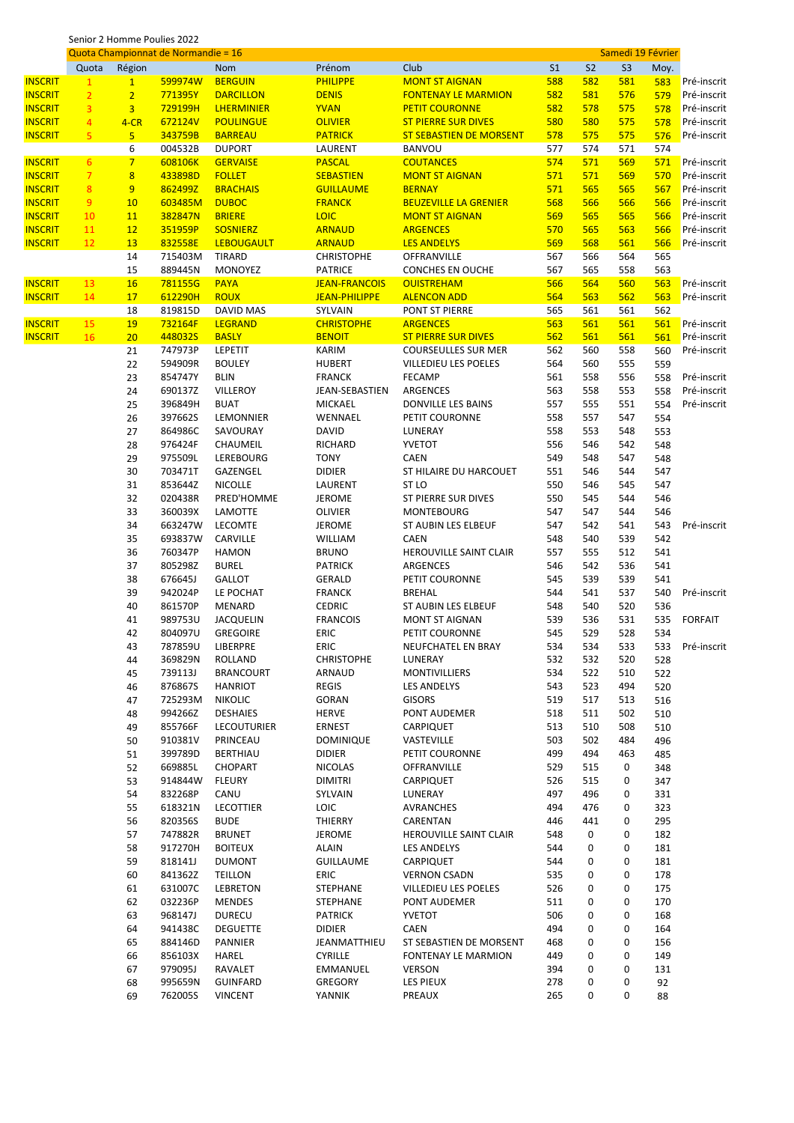|  | Senior 2 Homme Poulies 2022 |  |  |
|--|-----------------------------|--|--|
|  |                             |  |  |

|                |                |                | Quota Championnat de Normandie = 16 |                                   |                                     | Samedi 19 Février                          |                |                |                |            |                |
|----------------|----------------|----------------|-------------------------------------|-----------------------------------|-------------------------------------|--------------------------------------------|----------------|----------------|----------------|------------|----------------|
|                | Quota          | Région         |                                     | Nom                               | Prénom                              | Club                                       | S <sub>1</sub> | S <sub>2</sub> | S <sub>3</sub> | Moy.       |                |
| <b>INSCRIT</b> | $\mathbf{1}$   | $\mathbf{1}$   | 599974W                             | <b>BERGUIN</b>                    | <b>PHILIPPE</b>                     | <b>MONT ST AIGNAN</b>                      | 588            | 582            | 581            | 583        | Pré-inscrit    |
| <b>INSCRIT</b> | $\overline{2}$ | $\overline{2}$ | 771395Y                             | <b>DARCILLON</b>                  | <b>DENIS</b>                        | <b>FONTENAY LE MARMION</b>                 | 582            | 581            | 576            | 579        | Pré-inscrit    |
| <b>INSCRIT</b> | $\overline{3}$ | 3 <sup>2</sup> | 729199H                             | <b>LHERMINIER</b>                 | <b>YVAN</b>                         | <b>PETIT COURONNE</b>                      | 582            | 578            | 575            | 578        | Pré-inscrit    |
| <b>INSCRIT</b> | $\overline{4}$ | $4-CR$         | 672124V                             | <b>POULINGUE</b>                  | <b>OLIVIER</b>                      | <b>ST PIERRE SUR DIVES</b>                 | 580            | 580            | 575            | 578        | Pré-inscrit    |
| <b>INSCRIT</b> | 5              | 5 <sub>5</sub> | 343759B                             | <b>BARREAU</b>                    | <b>PATRICK</b>                      | <b>ST SEBASTIEN DE MORSENT</b>             | 578            | 575            | 575            | 576        | Pré-inscrit    |
|                |                | 6              | 004532B                             | <b>DUPORT</b>                     | LAURENT                             | BANVOU                                     | 577            | 574            | 571            | 574        |                |
| <b>INSCRIT</b> | 6 <sup>1</sup> | $7\overline{}$ | 608106K                             | <b>GERVAISE</b>                   | <b>PASCAL</b>                       | <b>COUTANCES</b>                           | 574            | 571            | 569            | 571        | Pré-inscrit    |
| <b>INSCRIT</b> | $\overline{7}$ | 8              | 433898D                             | <b>FOLLET</b>                     | <b>SEBASTIEN</b>                    | <b>MONT ST AIGNAN</b>                      | 571            | 571            | 569            | 570        | Pré-inscrit    |
| <b>INSCRIT</b> | 8              | 9              | 862499Z                             | <b>BRACHAIS</b>                   | <b>GUILLAUME</b>                    | <b>BERNAY</b>                              | 571            | 565            | 565            | 567        | Pré-inscrit    |
| <b>INSCRIT</b> | 9              | 10             | 603485M                             | <b>DUBOC</b>                      | <b>FRANCK</b>                       | <b>BEUZEVILLE LA GRENIER</b>               | 568            | 566            | 566            | 566        | Pré-inscrit    |
| <b>INSCRIT</b> | 10             | <b>11</b>      | 382847N                             | <b>BRIERE</b>                     | LOIC                                | <b>MONT ST AIGNAN</b>                      | 569            | 565            | 565            | 566        | Pré-inscrit    |
| <b>INSCRIT</b> | 11             | 12             | 351959P                             | <b>SOSNIERZ</b>                   | <b>ARNAUD</b>                       | <b>ARGENCES</b>                            | 570            | 565            | 563            | 566        | Pré-inscrit    |
| <b>INSCRIT</b> | 12             | 13             | 832558E                             | <b>LEBOUGAULT</b>                 | <b>ARNAUD</b>                       | <b>LES ANDELYS</b>                         | 569            | 568            | 561            | 566        | Pré-inscrit    |
|                |                | 14<br>15       | 715403M<br>889445N                  | <b>TIRARD</b><br><b>MONOYEZ</b>   | <b>CHRISTOPHE</b><br><b>PATRICE</b> | OFFRANVILLE<br>CONCHES EN OUCHE            | 567<br>567     | 566<br>565     | 564<br>558     | 565<br>563 |                |
| <b>INSCRIT</b> | 13             | <b>16</b>      | 781155G                             | <b>PAYA</b>                       | <b>JEAN-FRANCOIS</b>                | <b>OUISTREHAM</b>                          | 566            | 564            | 560            | 563        | Pré-inscrit    |
| <b>INSCRIT</b> | 14             | 17             | 612290H                             | <b>ROUX</b>                       | <b>JEAN-PHILIPPE</b>                | <b>ALENCON ADD</b>                         | 564            | 563            | 562            | 563        | Pré-inscrit    |
|                |                | 18             | 819815D                             | <b>DAVID MAS</b>                  | SYLVAIN                             | PONT ST PIERRE                             | 565            | 561            | 561            | 562        |                |
| <b>INSCRIT</b> | 15             | 19             | 732164F                             | <b>LEGRAND</b>                    | <b>CHRISTOPHE</b>                   | <b>ARGENCES</b>                            | 563            | 561            | 561            | 561        | Pré-inscrit    |
| <b>INSCRIT</b> | 16             | 20             | 448032S                             | <b>BASLY</b>                      | <b>BENOIT</b>                       | <b>ST PIERRE SUR DIVES</b>                 | 562            | 561            | 561            | 561        | Pré-inscrit    |
|                |                | 21             | 747973P                             | LEPETIT                           | KARIM                               | <b>COURSEULLES SUR MER</b>                 | 562            | 560            | 558            | 560        | Pré-inscrit    |
|                |                | 22             | 594909R                             | <b>BOULEY</b>                     | <b>HUBERT</b>                       | <b>VILLEDIEU LES POELES</b>                | 564            | 560            | 555            | 559        |                |
|                |                | 23             | 854747Y                             | <b>BLIN</b>                       | <b>FRANCK</b>                       | <b>FECAMP</b>                              | 561            | 558            | 556            | 558        | Pré-inscrit    |
|                |                | 24             | 690137Z                             | <b>VILLEROY</b>                   | JEAN-SEBASTIEN                      | <b>ARGENCES</b>                            | 563            | 558            | 553            | 558        | Pré-inscrit    |
|                |                | 25             | 396849H                             | <b>BUAT</b>                       | <b>MICKAEL</b>                      | DONVILLE LES BAINS                         | 557            | 555            | 551            | 554        | Pré-inscrit    |
|                |                | 26             | 397662S                             | LEMONNIER                         | WENNAEL                             | PETIT COURONNE                             | 558            | 557            | 547            | 554        |                |
|                |                | 27             | 864986C                             | SAVOURAY                          | <b>DAVID</b>                        | LUNERAY                                    | 558            | 553            | 548            | 553        |                |
|                |                | 28             | 976424F                             | CHAUMEIL                          | RICHARD                             | YVETOT                                     | 556            | 546            | 542            | 548        |                |
|                |                | 29             | 975509L                             | LEREBOURG                         | <b>TONY</b>                         | <b>CAEN</b>                                | 549            | 548            | 547            | 548        |                |
|                |                | 30<br>31       | 703471T<br>853644Z                  | GAZENGEL<br><b>NICOLLE</b>        | <b>DIDIER</b><br>LAURENT            | ST HILAIRE DU HARCOUET<br>ST <sub>LO</sub> | 551<br>550     | 546<br>546     | 544<br>545     | 547<br>547 |                |
|                |                | 32             | 020438R                             | PRED'HOMME                        | <b>JEROME</b>                       | ST PIERRE SUR DIVES                        | 550            | 545            | 544            | 546        |                |
|                |                | 33             | 360039X                             | LAMOTTE                           | <b>OLIVIER</b>                      | <b>MONTEBOURG</b>                          | 547            | 547            | 544            | 546        |                |
|                |                | 34             | 663247W                             | <b>LECOMTE</b>                    | <b>JEROME</b>                       | ST AUBIN LES ELBEUF                        | 547            | 542            | 541            | 543        | Pré-inscrit    |
|                |                | 35             | 693837W                             | CARVILLE                          | <b>WILLIAM</b>                      | <b>CAEN</b>                                | 548            | 540            | 539            | 542        |                |
|                |                | 36             | 760347P                             | <b>HAMON</b>                      | <b>BRUNO</b>                        | HEROUVILLE SAINT CLAIR                     | 557            | 555            | 512            | 541        |                |
|                |                | 37             | 805298Z                             | <b>BUREL</b>                      | <b>PATRICK</b>                      | <b>ARGENCES</b>                            | 546            | 542            | 536            | 541        |                |
|                |                | 38             | 676645J                             | <b>GALLOT</b>                     | GERALD                              | PETIT COURONNE                             | 545            | 539            | 539            | 541        |                |
|                |                | 39             | 942024P                             | LE POCHAT                         | <b>FRANCK</b>                       | <b>BREHAL</b>                              | 544            | 541            | 537            | 540        | Pré-inscrit    |
|                |                | 40             | 861570P                             | <b>MENARD</b>                     | <b>CEDRIC</b>                       | ST AUBIN LES ELBEUF                        | 548            | 540            | 520            | 536        |                |
|                |                | 41             | 989753U                             | <b>JACQUELIN</b>                  | <b>FRANCOIS</b>                     | <b>MONT ST AIGNAN</b>                      | 539            | 536            | 531            | 535        | <b>FORFAIT</b> |
|                |                | 42             | 804097U                             | <b>GREGOIRE</b>                   | <b>ERIC</b>                         | PETIT COURONNE                             | 545            | 529            | 528            | 534        |                |
|                |                | 43             | 787859U                             | LIBERPRE                          | ERIC                                | NEUFCHATEL EN BRAY                         | 534            | 534            | 533            | 533        | Pré-inscrit    |
|                |                | 44             | 369829N<br>739113J                  | ROLLAND<br><b>BRANCOURT</b>       | <b>CHRISTOPHE</b><br>ARNAUD         | LUNERAY<br><b>MONTIVILLIERS</b>            | 532<br>534     | 532<br>522     | 520<br>510     | 528        |                |
|                |                | 45<br>46       | 876867S                             | <b>HANRIOT</b>                    | REGIS                               | LES ANDELYS                                | 543            | 523            | 494            | 522<br>520 |                |
|                |                | 47             | 725293M                             | <b>NIKOLIC</b>                    | GORAN                               | <b>GISORS</b>                              | 519            | 517            | 513            | 516        |                |
|                |                | 48             | 994266Z                             | <b>DESHAIES</b>                   | <b>HERVE</b>                        | PONT AUDEMER                               | 518            | 511            | 502            | 510        |                |
|                |                | 49             | 855766F                             | <b>LECOUTURIER</b>                | ERNEST                              | CARPIQUET                                  | 513            | 510            | 508            | 510        |                |
|                |                | 50             | 910381V                             | PRINCEAU                          | <b>DOMINIQUE</b>                    | VASTEVILLE                                 | 503            | 502            | 484            | 496        |                |
|                |                | 51             | 399789D                             | <b>BERTHIAU</b>                   | <b>DIDIER</b>                       | PETIT COURONNE                             | 499            | 494            | 463            | 485        |                |
|                |                | 52             | 669885L                             | <b>CHOPART</b>                    | <b>NICOLAS</b>                      | OFFRANVILLE                                | 529            | 515            | 0              | 348        |                |
|                |                | 53             | 914844W                             | <b>FLEURY</b>                     | <b>DIMITRI</b>                      | CARPIQUET                                  | 526            | 515            | 0              | 347        |                |
|                |                | 54             | 832268P                             | CANU                              | SYLVAIN                             | LUNERAY                                    | 497            | 496            | 0              | 331        |                |
|                |                | 55             | 618321N                             | <b>LECOTTIER</b>                  | <b>LOIC</b>                         | AVRANCHES                                  | 494            | 476            | 0              | 323        |                |
|                |                | 56<br>57       | 820356S<br>747882R                  | <b>BUDE</b><br><b>BRUNET</b>      | THIERRY<br>JEROME                   | CARENTAN<br>HEROUVILLE SAINT CLAIR         | 446<br>548     | 441<br>0       | 0<br>0         | 295        |                |
|                |                | 58             | 917270H                             | <b>BOITEUX</b>                    | <b>ALAIN</b>                        | LES ANDELYS                                | 544            | 0              | 0              | 182<br>181 |                |
|                |                | 59             | 818141J                             | <b>DUMONT</b>                     | <b>GUILLAUME</b>                    | CARPIQUET                                  | 544            | 0              | 0              | 181        |                |
|                |                | 60             | 841362Z                             | <b>TEILLON</b>                    | ERIC                                | <b>VERNON CSADN</b>                        | 535            | 0              | 0              | 178        |                |
|                |                | 61             | 631007C                             | LEBRETON                          | STEPHANE                            | VILLEDIEU LES POELES                       | 526            | 0              | 0              | 175        |                |
|                |                | 62             | 032236P                             | <b>MENDES</b>                     | STEPHANE                            | PONT AUDEMER                               | 511            | 0              | 0              | 170        |                |
|                |                | 63             | 968147J                             | <b>DURECU</b>                     | <b>PATRICK</b>                      | YVETOT                                     | 506            | 0              | 0              | 168        |                |
|                |                | 64             | 941438C                             | <b>DEGUETTE</b>                   | <b>DIDIER</b>                       | CAEN                                       | 494            | 0              | 0              | 164        |                |
|                |                | 65             | 884146D                             | PANNIER                           | JEANMATTHIEU                        | ST SEBASTIEN DE MORSENT                    | 468            | 0              | 0              | 156        |                |
|                |                | 66             | 856103X                             | HAREL                             | <b>CYRILLE</b>                      | FONTENAY LE MARMION                        | 449            | 0              | 0              | 149        |                |
|                |                | 67             | 979095J                             | RAVALET                           | EMMANUEL                            | VERSON                                     | 394            | 0              | 0              | 131        |                |
|                |                | 68<br>69       | 995659N<br>762005S                  | <b>GUINFARD</b><br><b>VINCENT</b> | GREGORY<br>YANNIK                   | LES PIEUX<br>PREAUX                        | 278<br>265     | 0<br>0         | 0<br>0         | 92<br>88   |                |
|                |                |                |                                     |                                   |                                     |                                            |                |                |                |            |                |